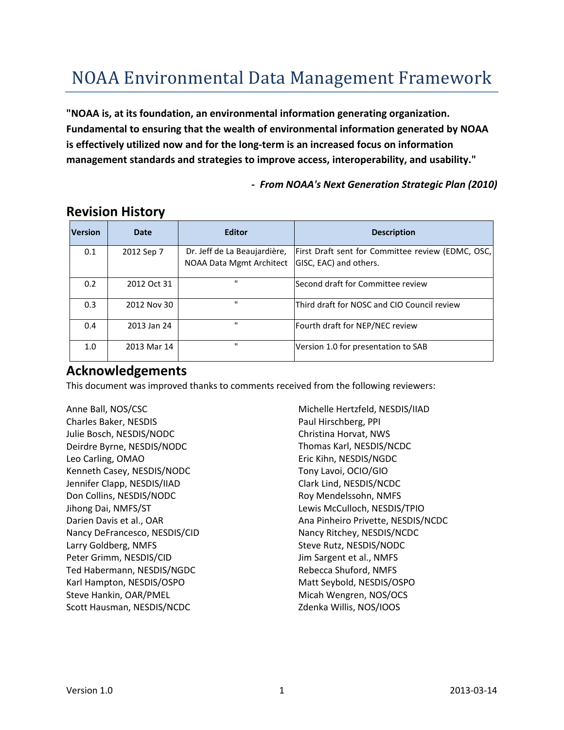# NOAA Environmental Data Management Framework

**"NOAA is, at its foundation, an environmental information generating organization. Fundamental to ensuring that the wealth of environmental information generated by NOAA is effectively utilized now and for the long-term is an increased focus on information management standards and strategies to improve access, interoperability, and usability."**

*- From NOAA's Next Generation Strategic Plan (2010)*

| <b>Version</b> | <b>Date</b> | <b>Editor</b>                                            | <b>Description</b>                                                          |
|----------------|-------------|----------------------------------------------------------|-----------------------------------------------------------------------------|
| 0.1            | 2012 Sep 7  | Dr. Jeff de La Beaujardière,<br>NOAA Data Mgmt Architect | First Draft sent for Committee review (EDMC, OSC,<br>GISC, EAC) and others. |
| 0.2            | 2012 Oct 31 | $\mathbf{u}$                                             | Second draft for Committee review                                           |
| 0.3            | 2012 Nov 30 | $\mathbf{u}$                                             | Third draft for NOSC and CIO Council review                                 |
| 0.4            | 2013 Jan 24 | $\mathbf{u}$                                             | Fourth draft for NEP/NEC review                                             |
| 1.0            | 2013 Mar 14 | $\mathbf{u}$                                             | Version 1.0 for presentation to SAB                                         |

## **Revision History**

# **Acknowledgements**

This document was improved thanks to comments received from the following reviewers:

Anne Ball, NOS/CSC Charles Baker, NESDIS Julie Bosch, NESDIS/NODC Deirdre Byrne, NESDIS/NODC Leo Carling, OMAO Kenneth Casey, NESDIS/NODC Jennifer Clapp, NESDIS/IIAD Don Collins, NESDIS/NODC Jihong Dai, NMFS/ST Darien Davis et al., OAR Nancy DeFrancesco, NESDIS/CID Larry Goldberg, NMFS Peter Grimm, NESDIS/CID Ted Habermann, NESDIS/NGDC Karl Hampton, NESDIS/OSPO Steve Hankin, OAR/PMEL Scott Hausman, NESDIS/NCDC

Michelle Hertzfeld, NESDIS/IIAD Paul Hirschberg, PPI Christina Horvat, NWS Thomas Karl, NESDIS/NCDC Eric Kihn, NESDIS/NGDC Tony Lavoi, OCIO/GIO Clark Lind, NESDIS/NCDC Roy Mendelssohn, NMFS Lewis McCulloch, NESDIS/TPIO Ana Pinheiro Privette, NESDIS/NCDC Nancy Ritchey, NESDIS/NCDC Steve Rutz, NESDIS/NODC Jim Sargent et al., NMFS Rebecca Shuford, NMFS Matt Seybold, NESDIS/OSPO Micah Wengren, NOS/OCS Zdenka Willis, NOS/IOOS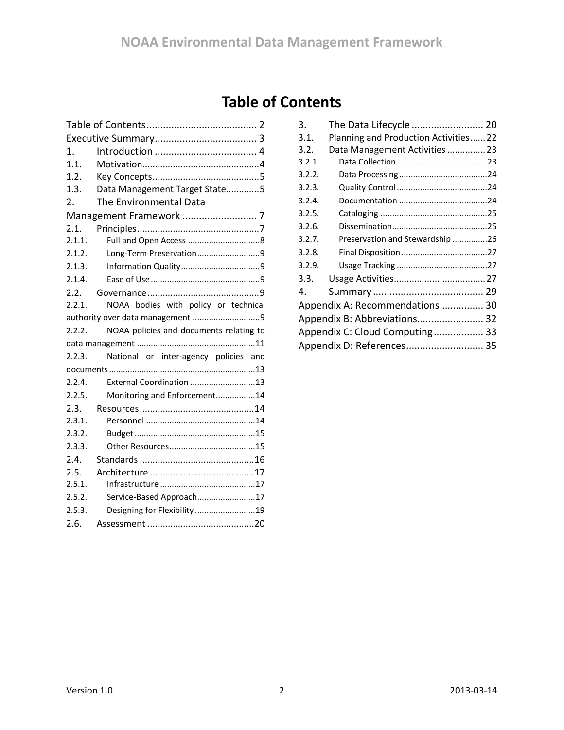# **Table of Contents**

<span id="page-1-0"></span>

| 1.     |                                         |  |  |  |
|--------|-----------------------------------------|--|--|--|
| 1.1.   |                                         |  |  |  |
| 1.2.   |                                         |  |  |  |
| 1.3.   | Data Management Target State5           |  |  |  |
| 2.     | The Environmental Data                  |  |  |  |
|        |                                         |  |  |  |
| 2.1.   |                                         |  |  |  |
| 2.1.1. |                                         |  |  |  |
| 2.1.2. | Long-Term Preservation9                 |  |  |  |
| 2.1.3. |                                         |  |  |  |
| 2.1.4. |                                         |  |  |  |
| 2.2.   |                                         |  |  |  |
| 2.2.1. | NOAA bodies with policy or technical    |  |  |  |
|        |                                         |  |  |  |
| 2.2.2. | NOAA policies and documents relating to |  |  |  |
|        |                                         |  |  |  |
| 2.2.3. | National or inter-agency policies and   |  |  |  |
|        |                                         |  |  |  |
| 2.2.4. | External Coordination 13                |  |  |  |
| 2.2.5. | Monitoring and Enforcement14            |  |  |  |
| 2.3.   |                                         |  |  |  |
| 2.3.1. |                                         |  |  |  |
| 2.3.2. |                                         |  |  |  |
| 2.3.3. |                                         |  |  |  |
| 2.4.   |                                         |  |  |  |
| 2.5.   |                                         |  |  |  |
| 2.5.1. |                                         |  |  |  |
| 2.5.2. | Service-Based Approach17                |  |  |  |
| 2.5.3. | Designing for Flexibility 19            |  |  |  |
| 2.6.   |                                         |  |  |  |

| 3.                              | The Data Lifecycle  20               |  |  |
|---------------------------------|--------------------------------------|--|--|
| 3.1.                            | Planning and Production Activities22 |  |  |
| 3.2.                            | Data Management Activities 23        |  |  |
| 3.2.1.                          |                                      |  |  |
| 3.2.2.                          |                                      |  |  |
| 3.2.3.                          |                                      |  |  |
| 3.2.4.                          |                                      |  |  |
| 3.2.5.                          |                                      |  |  |
| 3.2.6.                          |                                      |  |  |
| 3.2.7.                          | Preservation and Stewardship 26      |  |  |
| 3.2.8.                          |                                      |  |  |
| 3.2.9.                          |                                      |  |  |
| 3.3.                            |                                      |  |  |
| 4.                              |                                      |  |  |
| Appendix A: Recommendations  30 |                                      |  |  |
| Appendix B: Abbreviations 32    |                                      |  |  |
| Appendix C: Cloud Computing 33  |                                      |  |  |
| Appendix D: References 35       |                                      |  |  |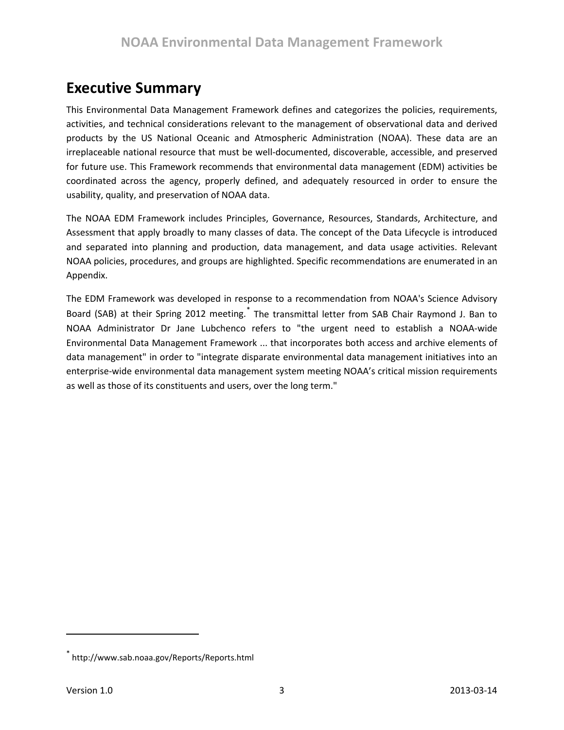# <span id="page-2-0"></span>**Executive Summary**

This Environmental Data Management Framework defines and categorizes the policies, requirements, activities, and technical considerations relevant to the management of observational data and derived products by the US National Oceanic and Atmospheric Administration (NOAA). These data are an irreplaceable national resource that must be well-documented, discoverable, accessible, and preserved for future use. This Framework recommends that environmental data management (EDM) activities be coordinated across the agency, properly defined, and adequately resourced in order to ensure the usability, quality, and preservation of NOAA data.

The NOAA EDM Framework includes Principles, Governance, Resources, Standards, Architecture, and Assessment that apply broadly to many classes of data. The concept of the Data Lifecycle is introduced and separated into planning and production, data management, and data usage activities. Relevant NOAA policies, procedures, and groups are highlighted. Specific recommendations are enumerated in an Appendix.

The EDM Framework was developed in response to a recommendation from NOAA's Science Advisory Board (SAB) at their Spring 2012 meeting.<sup>[\\*](#page-2-1)</sup> The transmittal letter from SAB Chair Raymond J. Ban to NOAA Administrator Dr Jane Lubchenco refers to "the urgent need to establish a NOAA-wide Environmental Data Management Framework ... that incorporates both access and archive elements of data management" in order to "integrate disparate environmental data management initiatives into an enterprise-wide environmental data management system meeting NOAA's critical mission requirements as well as those of its constituents and users, over the long term."

<span id="page-2-1"></span><sup>\*</sup> http://www.sab.noaa.gov/Reports/Reports.html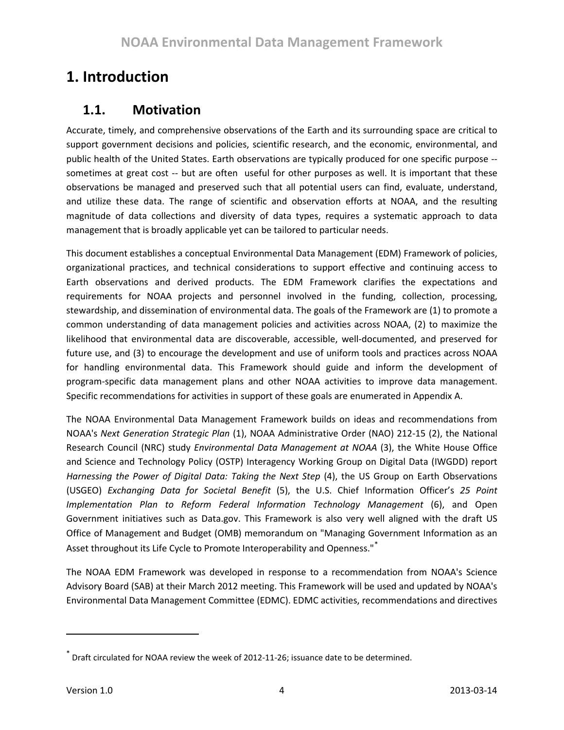# <span id="page-3-0"></span>**1. Introduction**

# <span id="page-3-1"></span>**1.1. Motivation**

Accurate, timely, and comprehensive observations of the Earth and its surrounding space are critical to support government decisions and policies, scientific research, and the economic, environmental, and public health of the United States. Earth observations are typically produced for one specific purpose - sometimes at great cost -- but are often useful for other purposes as well. It is important that these observations be managed and preserved such that all potential users can find, evaluate, understand, and utilize these data. The range of scientific and observation efforts at NOAA, and the resulting magnitude of data collections and diversity of data types, requires a systematic approach to data management that is broadly applicable yet can be tailored to particular needs.

This document establishes a conceptual Environmental Data Management (EDM) Framework of policies, organizational practices, and technical considerations to support effective and continuing access to Earth observations and derived products. The EDM Framework clarifies the expectations and requirements for NOAA projects and personnel involved in the funding, collection, processing, stewardship, and dissemination of environmental data. The goals of the Framework are (1) to promote a common understanding of data management policies and activities across NOAA, (2) to maximize the likelihood that environmental data are discoverable, accessible, well-documented, and preserved for future use, and (3) to encourage the development and use of uniform tools and practices across NOAA for handling environmental data. This Framework should guide and inform the development of program-specific data management plans and other NOAA activities to improve data management. Specific recommendations for activities in support of these goals are enumerated in Appendix A.

The NOAA Environmental Data Management Framework builds on ideas and recommendations from NOAA's *Next Generation Strategic Plan* (1), NOAA Administrative Order (NAO) 212-15 (2), the National Research Council (NRC) study *Environmental Data Management at NOAA* (3), the White House Office and Science and Technology Policy (OSTP) Interagency Working Group on Digital Data (IWGDD) report *Harnessing the Power of Digital Data: Taking the Next Step* (4), the US Group on Earth Observations (USGEO) *Exchanging Data for Societal Benefit* (5), the U.S. Chief Information Officer's *25 Point Implementation Plan to Reform Federal Information Technology Management* (6), and Open Government initiatives such as Data.gov. This Framework is also very well aligned with the draft US Office of Management and Budget (OMB) memorandum on "Managing Government Information as an Asset throughout its Life Cycle to Promote Interoperability and Openness."<sup>[\\*](#page-3-2)</sup>

The NOAA EDM Framework was developed in response to a recommendation from NOAA's Science Advisory Board (SAB) at their March 2012 meeting. This Framework will be used and updated by NOAA's Environmental Data Management Committee (EDMC). EDMC activities, recommendations and directives

<span id="page-3-2"></span> $\sigma$  Draft circulated for NOAA review the week of 2012-11-26; issuance date to be determined.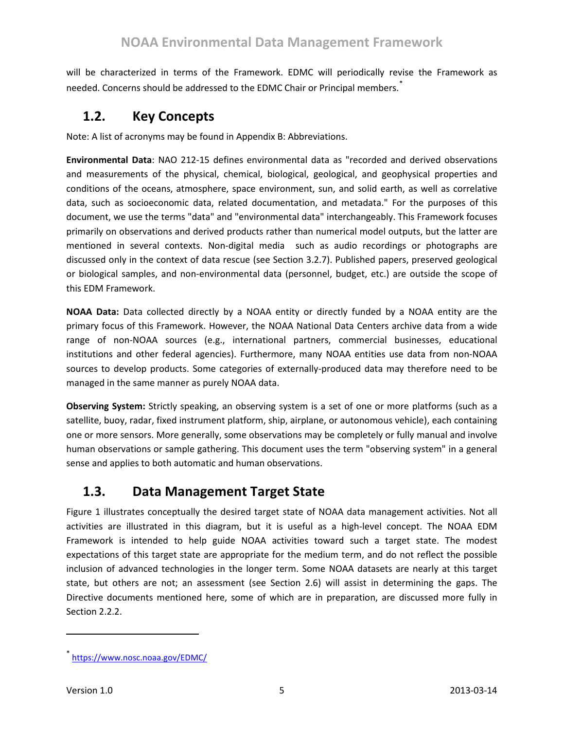will be characterized in terms of the Framework. EDMC will periodically revise the Framework as needed. Concerns should be addressed to the EDMC Chair or Principal members.<sup>[\\*](#page-4-2)</sup>

# <span id="page-4-0"></span>**1.2. Key Concepts**

Note: A list of acronyms may be found in [Appendix B: Abbreviations.](#page-31-0)

**Environmental Data**: NAO 212-15 defines environmental data as "recorded and derived observations and measurements of the physical, chemical, biological, geological, and geophysical properties and conditions of the oceans, atmosphere, space environment, sun, and solid earth, as well as correlative data, such as socioeconomic data, related documentation, and metadata." For the purposes of this document, we use the terms "data" and "environmental data" interchangeably. This Framework focuses primarily on observations and derived products rather than numerical model outputs, but the latter are mentioned in several contexts. Non-digital media such as audio recordings or photographs are discussed only in the context of data rescue (see Section [3.2.7\)](#page-25-0). Published papers, preserved geological or biological samples, and non-environmental data (personnel, budget, etc.) are outside the scope of this EDM Framework.

**NOAA Data:** Data collected directly by a NOAA entity or directly funded by a NOAA entity are the primary focus of this Framework. However, the NOAA National Data Centers archive data from a wide range of non-NOAA sources (e.g., international partners, commercial businesses, educational institutions and other federal agencies). Furthermore, many NOAA entities use data from non-NOAA sources to develop products. Some categories of externally-produced data may therefore need to be managed in the same manner as purely NOAA data.

**Observing System:** Strictly speaking, an observing system is a set of one or more platforms (such as a satellite, buoy, radar, fixed instrument platform, ship, airplane, or autonomous vehicle), each containing one or more sensors. More generally, some observations may be completely or fully manual and involve human observations or sample gathering. This document uses the term "observing system" in a general sense and applies to both automatic and human observations.

# <span id="page-4-1"></span>**1.3. Data Management Target State**

[Figure 1](#page-5-0) illustrates conceptually the desired target state of NOAA data management activities. Not all activities are illustrated in this diagram, but it is useful as a high-level concept. The NOAA EDM Framework is intended to help guide NOAA activities toward such a target state. The modest expectations of this target state are appropriate for the medium term, and do not reflect the possible inclusion of advanced technologies in the longer term. Some NOAA datasets are nearly at this target state, but others are not; an assessment (see Section [2.6\)](#page-19-0) will assist in determining the gaps. The Directive documents mentioned here, some of which are in preparation, are discussed more fully in Sectio[n 2.2.2.](#page-10-0)

<span id="page-4-2"></span><https://www.nosc.noaa.gov/EDMC/>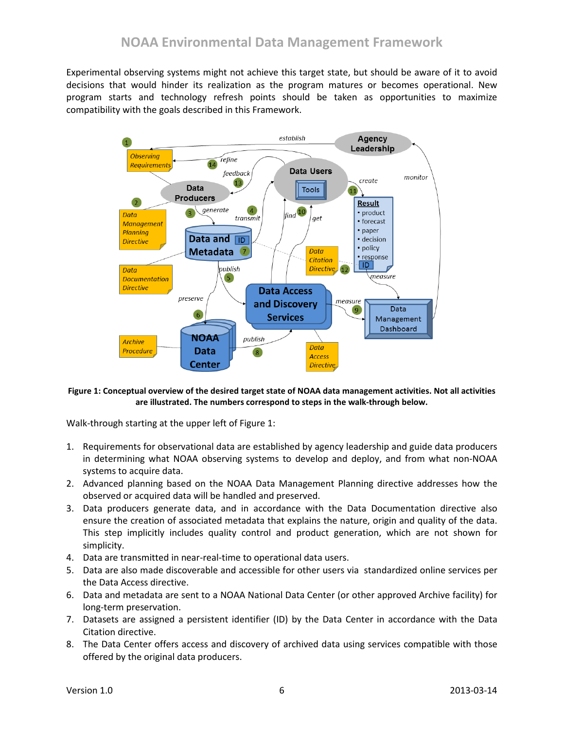Experimental observing systems might not achieve this target state, but should be aware of it to avoid decisions that would hinder its realization as the program matures or becomes operational. New program starts and technology refresh points should be taken as opportunities to maximize compatibility with the goals described in this Framework.



#### <span id="page-5-0"></span>**Figure 1: Conceptual overview of the desired target state of NOAA data management activities. Not all activities are illustrated. The numbers correspond to steps in the walk-through below.**

Walk-through starting at the upper left of [Figure 1:](#page-5-0)

- 1. Requirements for observational data are established by agency leadership and guide data producers in determining what NOAA observing systems to develop and deploy, and from what non-NOAA systems to acquire data.
- 2. Advanced planning based on the NOAA Data Management Planning directive addresses how the observed or acquired data will be handled and preserved.
- 3. Data producers generate data, and in accordance with the Data Documentation directive also ensure the creation of associated metadata that explains the nature, origin and quality of the data. This step implicitly includes quality control and product generation, which are not shown for simplicity.
- 4. Data are transmitted in near-real-time to operational data users.
- 5. Data are also made discoverable and accessible for other users via standardized online services per the Data Access directive.
- 6. Data and metadata are sent to a NOAA National Data Center (or other approved Archive facility) for long-term preservation.
- 7. Datasets are assigned a persistent identifier (ID) by the Data Center in accordance with the Data Citation directive.
- 8. The Data Center offers access and discovery of archived data using services compatible with those offered by the original data producers.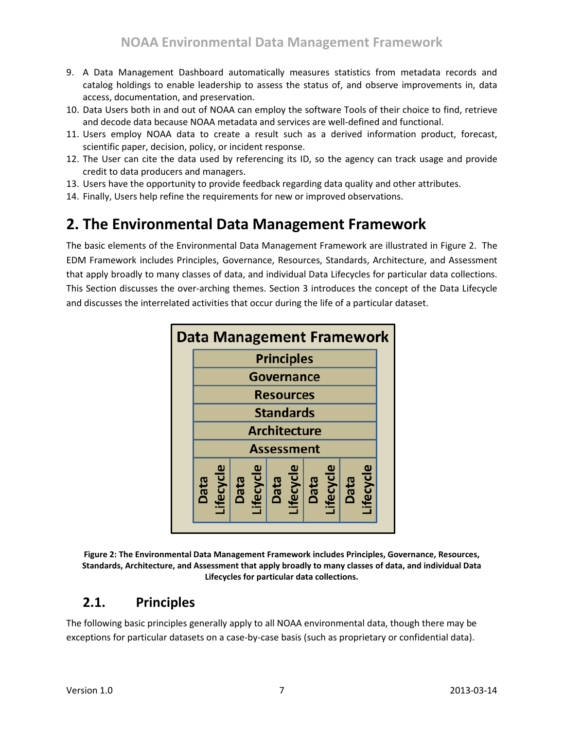- 9. A Data Management Dashboard automatically measures statistics from metadata records and catalog holdings to enable leadership to assess the status of, and observe improvements in, data access, documentation, and preservation.
- 10. Data Users both in and out of NOAA can employ the software Tools of their choice to find, retrieve and decode data because NOAA metadata and services are well-defined and functional.
- 11. Users employ NOAA data to create a result such as a derived information product, forecast, scientific paper, decision, policy, or incident response.
- 12. The User can cite the data used by referencing its ID, so the agency can track usage and provide credit to data producers and managers.
- 13. Users have the opportunity to provide feedback regarding data quality and other attributes.
- 14. Finally, Users help refine the requirements for new or improved observations.

# <span id="page-6-0"></span>**2. The Environmental Data Management Framework**

The basic elements of the Environmental Data Management Framework are illustrated in [Figure 2.](#page-6-2) The EDM Framework includes Principles, Governance, Resources, Standards, Architecture, and Assessment that apply broadly to many classes of data, and individual Data Lifecycles for particular data collections. This Section discusses the over-arching themes. Section [3](#page-19-1) introduces the concept of the Data Lifecycle and discusses the interrelated activities that occur during the life of a particular dataset.



<span id="page-6-2"></span>

# <span id="page-6-1"></span>**2.1. Principles**

The following basic principles generally apply to all NOAA environmental data, though there may be exceptions for particular datasets on a case-by-case basis (such as proprietary or confidential data).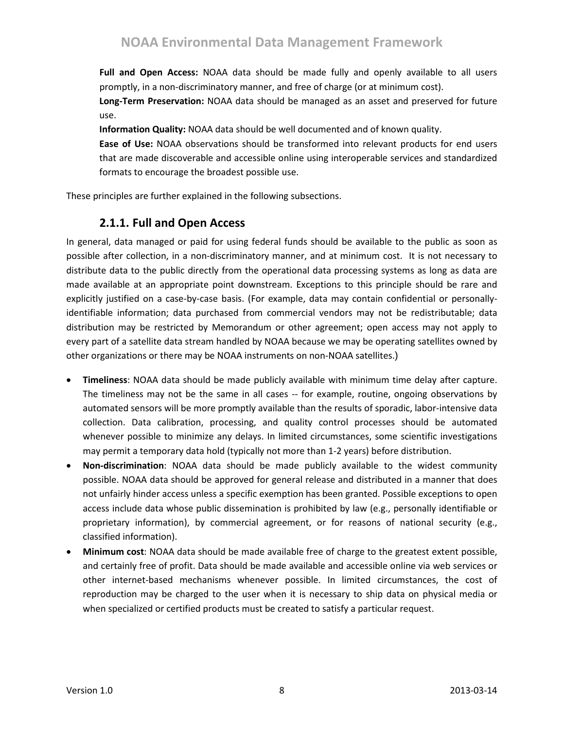**Full and Open Access:** NOAA data should be made fully and openly available to all users promptly, in a non-discriminatory manner, and free of charge (or at minimum cost).

**Long-Term Preservation:** NOAA data should be managed as an asset and preserved for future use.

**Information Quality:** NOAA data should be well documented and of known quality.

**Ease of Use:** NOAA observations should be transformed into relevant products for end users that are made discoverable and accessible online using interoperable services and standardized formats to encourage the broadest possible use.

<span id="page-7-0"></span>These principles are further explained in the following subsections.

## **2.1.1. Full and Open Access**

In general, data managed or paid for using federal funds should be available to the public as soon as possible after collection, in a non-discriminatory manner, and at minimum cost. It is not necessary to distribute data to the public directly from the operational data processing systems as long as data are made available at an appropriate point downstream. Exceptions to this principle should be rare and explicitly justified on a case-by-case basis. (For example, data may contain confidential or personallyidentifiable information; data purchased from commercial vendors may not be redistributable; data distribution may be restricted by Memorandum or other agreement; open access may not apply to every part of a satellite data stream handled by NOAA because we may be operating satellites owned by other organizations or there may be NOAA instruments on non-NOAA satellites.)

- **Timeliness**: NOAA data should be made publicly available with minimum time delay after capture. The timeliness may not be the same in all cases -- for example, routine, ongoing observations by automated sensors will be more promptly available than the results of sporadic, labor-intensive data collection. Data calibration, processing, and quality control processes should be automated whenever possible to minimize any delays. In limited circumstances, some scientific investigations may permit a temporary data hold (typically not more than 1-2 years) before distribution.
- **Non-discrimination**: NOAA data should be made publicly available to the widest community possible. NOAA data should be approved for general release and distributed in a manner that does not unfairly hinder access unless a specific exemption has been granted. Possible exceptions to open access include data whose public dissemination is prohibited by law (e.g., personally identifiable or proprietary information), by commercial agreement, or for reasons of national security (e.g., classified information).
- **Minimum cost**: NOAA data should be made available free of charge to the greatest extent possible, and certainly free of profit. Data should be made available and accessible online via web services or other internet-based mechanisms whenever possible. In limited circumstances, the cost of reproduction may be charged to the user when it is necessary to ship data on physical media or when specialized or certified products must be created to satisfy a particular request.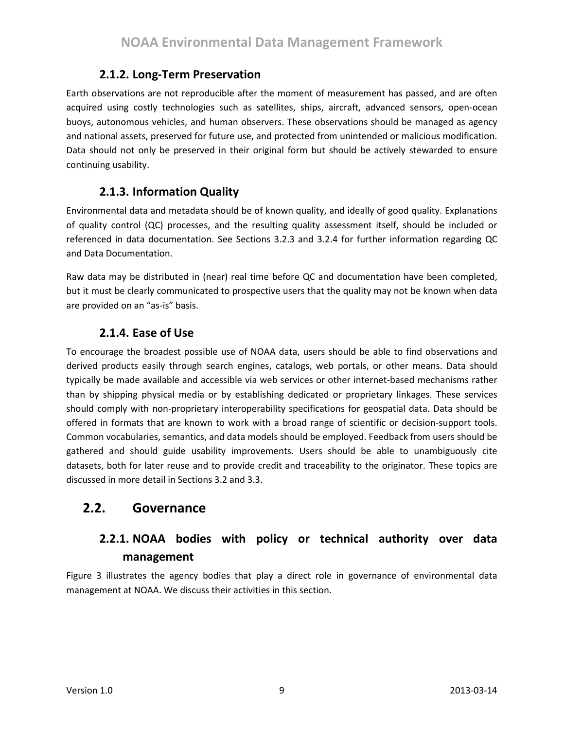### **2.1.2. Long-Term Preservation**

<span id="page-8-0"></span>Earth observations are not reproducible after the moment of measurement has passed, and are often acquired using costly technologies such as satellites, ships, aircraft, advanced sensors, open-ocean buoys, autonomous vehicles, and human observers. These observations should be managed as agency and national assets, preserved for future use, and protected from unintended or malicious modification. Data should not only be preserved in their original form but should be actively stewarded to ensure continuing usability.

### **2.1.3. Information Quality**

<span id="page-8-1"></span>Environmental data and metadata should be of known quality, and ideally of good quality. Explanations of quality control (QC) processes, and the resulting quality assessment itself, should be included or referenced in data documentation. See Sections [3.2.3](#page-23-2) and [3.2.4](#page-23-2) for further information regarding QC and Data Documentation.

Raw data may be distributed in (near) real time before QC and documentation have been completed, but it must be clearly communicated to prospective users that the quality may not be known when data are provided on an "as-is" basis.

### **2.1.4. Ease of Use**

<span id="page-8-2"></span>To encourage the broadest possible use of NOAA data, users should be able to find observations and derived products easily through search engines, catalogs, web portals, or other means. Data should typically be made available and accessible via web services or other internet-based mechanisms rather than by shipping physical media or by establishing dedicated or proprietary linkages. These services should comply with non-proprietary interoperability specifications for geospatial data. Data should be offered in formats that are known to work with a broad range of scientific or decision-support tools. Common vocabularies, semantics, and data models should be employed. Feedback from users should be gathered and should guide usability improvements. Users should be able to unambiguously cite datasets, both for later reuse and to provide credit and traceability to the originator. These topics are discussed in more detail in Sections [3.2](#page-22-0) an[d 3.3.](#page-26-2)

## <span id="page-8-4"></span><span id="page-8-3"></span>**2.2. Governance**

# **2.2.1. NOAA bodies with policy or technical authority over data management**

[Figure 3](#page-9-0) illustrates the agency bodies that play a direct role in governance of environmental data management at NOAA. We discuss their activities in this section.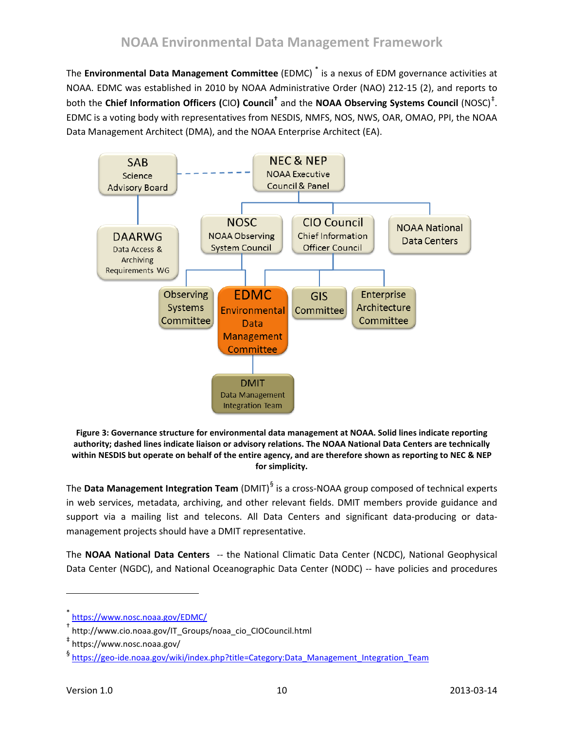The **Environmental Data Management Committee** (EDMC) [\\*](#page-9-1) is a nexus of EDM governance activities at NOAA. EDMC was established in 2010 by NOAA Administrative Order (NAO) 212-15 (2), and reports to both the **Chief Information Officers (**CIO**) Council[†](#page-9-2)** and the **NOAA Observing Systems Council** (NOSC) [‡](#page-9-3) . EDMC is a voting body with representatives from NESDIS, NMFS, NOS, NWS, OAR, OMAO, PPI, the NOAA Data Management Architect (DMA), and the NOAA Enterprise Architect (EA).



<span id="page-9-0"></span>**Figure 3: Governance structure for environmental data management at NOAA. Solid lines indicate reporting authority; dashed lines indicate liaison or advisory relations. The NOAA National Data Centers are technically within NESDIS but operate on behalf of the entire agency, and are therefore shown as reporting to NEC & NEP for simplicity.**

The **Data Management Integration Team** (DMIT) [§](#page-9-4) is a cross-NOAA group composed of technical experts in web services, metadata, archiving, and other relevant fields. DMIT members provide guidance and support via a mailing list and telecons. All Data Centers and significant data-producing or datamanagement projects should have a DMIT representative.

The **NOAA National Data Centers** -- the National Climatic Data Center (NCDC), National Geophysical Data Center (NGDC), and National Oceanographic Data Center (NODC) -- have policies and procedures

 $\overline{\phantom{a}}$ 

<span id="page-9-1"></span><https://www.nosc.noaa.gov/EDMC/>

<span id="page-9-2"></span><sup>†</sup> http://www.cio.noaa.gov/IT\_Groups/noaa\_cio\_CIOCouncil.html

<span id="page-9-3"></span><sup>‡</sup> https://www.nosc.noaa.gov/

<span id="page-9-4"></span><sup>§</sup> [https://geo-ide.noaa.gov/wiki/index.php?title=Category:Data\\_Management\\_Integration\\_Team](https://geo-ide.noaa.gov/wiki/index.php?title=Category:Data_Management_Integration_Team)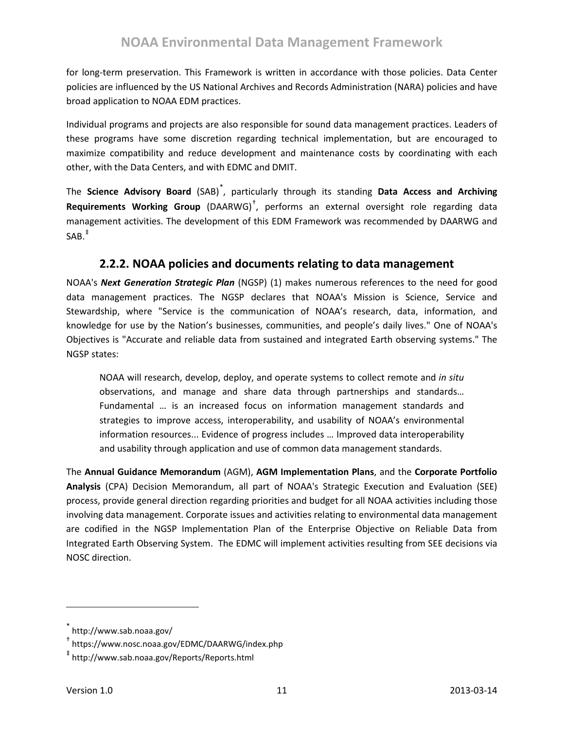for long-term preservation. This Framework is written in accordance with those policies. Data Center policies are influenced by the US National Archives and Records Administration (NARA) policies and have broad application to NOAA EDM practices.

Individual programs and projects are also responsible for sound data management practices. Leaders of these programs have some discretion regarding technical implementation, but are encouraged to maximize compatibility and reduce development and maintenance costs by coordinating with each other, with the Data Centers, and with EDMC and DMIT.

The **Science Advisory Board** (SAB)[\\*](#page-10-1) , particularly through its standing **Data Access and Archiving Requirements Working Group** (DAARWG)[†](#page-10-2) , performs an external oversight role regarding data management activities. The development of this EDM Framework was recommended by DAARWG and SAB.[‡](#page-10-3)

### **2.2.2. NOAA policies and documents relating to data management**

<span id="page-10-0"></span>NOAA's *Next Generation Strategic Plan* (NGSP) (1) makes numerous references to the need for good data management practices. The NGSP declares that NOAA's Mission is Science, Service and Stewardship, where "Service is the communication of NOAA's research, data, information, and knowledge for use by the Nation's businesses, communities, and people's daily lives." One of NOAA's Objectives is "Accurate and reliable data from sustained and integrated Earth observing systems." The NGSP states:

NOAA will research, develop, deploy, and operate systems to collect remote and *in situ* observations, and manage and share data through partnerships and standards… Fundamental … is an increased focus on information management standards and strategies to improve access, interoperability, and usability of NOAA's environmental information resources... Evidence of progress includes … Improved data interoperability and usability through application and use of common data management standards.

The **Annual Guidance Memorandum** (AGM), **AGM Implementation Plans**, and the **Corporate Portfolio Analysis** (CPA) Decision Memorandum, all part of NOAA's Strategic Execution and Evaluation (SEE) process, provide general direction regarding priorities and budget for all NOAA activities including those involving data management. Corporate issues and activities relating to environmental data management are codified in the NGSP Implementation Plan of the Enterprise Objective on Reliable Data from Integrated Earth Observing System. The EDMC will implement activities resulting from SEE decisions via NOSC direction.

 $\overline{\phantom{a}}$ 

<span id="page-10-1"></span>http://www.sab.noaa.gov/

<span id="page-10-2"></span><sup>†</sup> https://www.nosc.noaa.gov/EDMC/DAARWG/index.php

<span id="page-10-3"></span><sup>‡</sup> http://www.sab.noaa.gov/Reports/Reports.html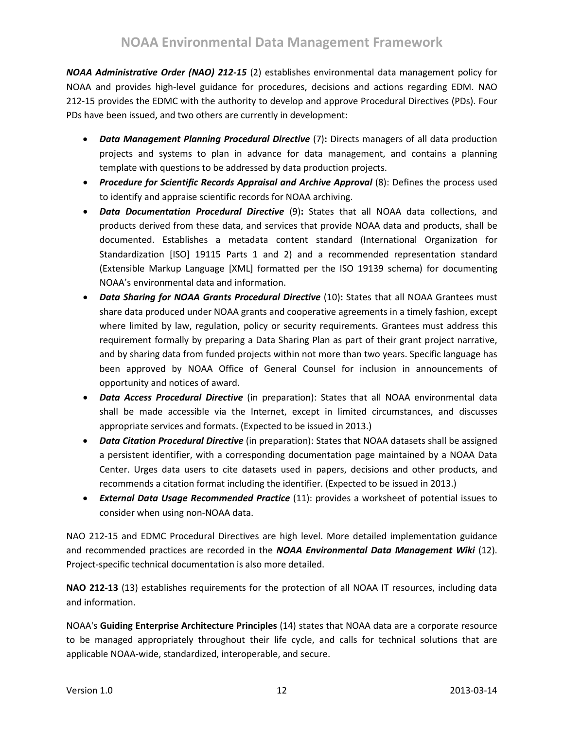*NOAA Administrative Order (NAO) 212-15* (2) establishes environmental data management policy for NOAA and provides high-level guidance for procedures, decisions and actions regarding EDM. NAO 212-15 provides the EDMC with the authority to develop and approve Procedural Directives (PDs). Four PDs have been issued, and two others are currently in development:

- *Data Management Planning Procedural Directive* (7)**:** Directs managers of all data production projects and systems to plan in advance for data management, and contains a planning template with questions to be addressed by data production projects.
- *Procedure for Scientific Records Appraisal and Archive Approval* (8): Defines the process used to identify and appraise scientific records for NOAA archiving.
- *Data Documentation Procedural Directive* (9)**:** States that all NOAA data collections, and products derived from these data, and services that provide NOAA data and products, shall be documented. Establishes a metadata content standard (International Organization for Standardization [ISO] 19115 Parts 1 and 2) and a recommended representation standard (Extensible Markup Language [XML] formatted per the ISO 19139 schema) for documenting NOAA's environmental data and information.
- *Data Sharing for NOAA Grants Procedural Directive* (10)**:** States that all NOAA Grantees must share data produced under NOAA grants and cooperative agreements in a timely fashion, except where limited by law, regulation, policy or security requirements. Grantees must address this requirement formally by preparing a Data Sharing Plan as part of their grant project narrative, and by sharing data from funded projects within not more than two years. Specific language has been approved by NOAA Office of General Counsel for inclusion in announcements of opportunity and notices of award.
- *Data Access Procedural Directive* (in preparation): States that all NOAA environmental data shall be made accessible via the Internet, except in limited circumstances, and discusses appropriate services and formats. (Expected to be issued in 2013.)
- *Data Citation Procedural Directive* (in preparation): States that NOAA datasets shall be assigned a persistent identifier, with a corresponding documentation page maintained by a NOAA Data Center. Urges data users to cite datasets used in papers, decisions and other products, and recommends a citation format including the identifier. (Expected to be issued in 2013.)
- *External Data Usage Recommended Practice* (11): provides a worksheet of potential issues to consider when using non-NOAA data.

NAO 212-15 and EDMC Procedural Directives are high level. More detailed implementation guidance and recommended practices are recorded in the *NOAA Environmental Data Management Wiki* (12). Project-specific technical documentation is also more detailed.

**NAO 212-13** (13) establishes requirements for the protection of all NOAA IT resources, including data and information.

NOAA's **Guiding Enterprise Architecture Principles** (14) states that NOAA data are a corporate resource to be managed appropriately throughout their life cycle, and calls for technical solutions that are applicable NOAA-wide, standardized, interoperable, and secure.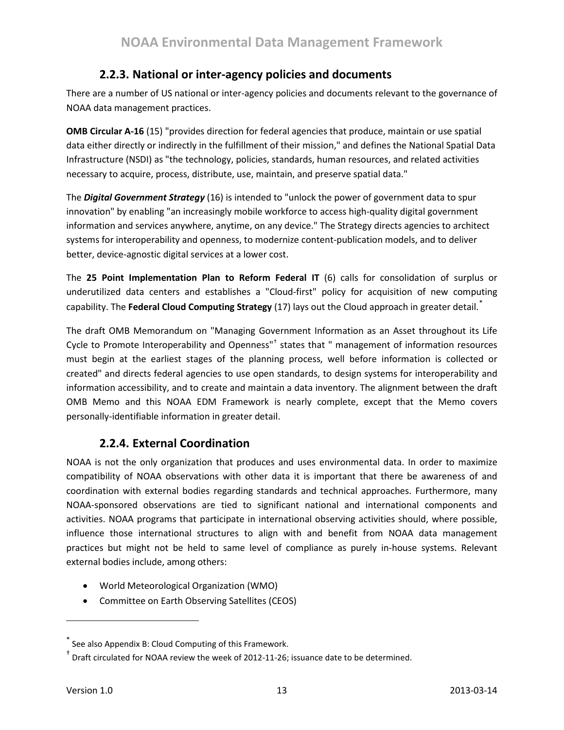### **2.2.3. National or inter-agency policies and documents**

<span id="page-12-0"></span>There are a number of US national or inter-agency policies and documents relevant to the governance of NOAA data management practices.

**OMB Circular A-16** (15) "provides direction for federal agencies that produce, maintain or use spatial data either directly or indirectly in the fulfillment of their mission," and defines the National Spatial Data Infrastructure (NSDI) as "the technology, policies, standards, human resources, and related activities necessary to acquire, process, distribute, use, maintain, and preserve spatial data."

The *Digital Government Strategy* (16) is intended to "unlock the power of government data to spur innovation" by enabling "an increasingly mobile workforce to access high-quality digital government information and services anywhere, anytime, on any device." The Strategy directs agencies to architect systems for interoperability and openness, to modernize content-publication models, and to deliver better, device-agnostic digital services at a lower cost.

The **25 Point Implementation Plan to Reform Federal IT** (6) calls for consolidation of surplus or underutilized data centers and establishes a "Cloud-first" policy for acquisition of new computing capability. The **Federal Cloud Computing Strategy** (17) lays out the Cloud approach in greater detail.[\\*](#page-12-2)

The draft OMB Memorandum on "Managing Government Information as an Asset throughout its Life Cycle to Promote Interoperability and Openness"[†](#page-12-3) states that " management of information resources must begin at the earliest stages of the planning process, well before information is collected or created" and directs federal agencies to use open standards, to design systems for interoperability and information accessibility, and to create and maintain a data inventory. The alignment between the draft OMB Memo and this NOAA EDM Framework is nearly complete, except that the Memo covers personally-identifiable information in greater detail.

### **2.2.4. External Coordination**

<span id="page-12-1"></span>NOAA is not the only organization that produces and uses environmental data. In order to maximize compatibility of NOAA observations with other data it is important that there be awareness of and coordination with external bodies regarding standards and technical approaches. Furthermore, many NOAA-sponsored observations are tied to significant national and international components and activities. NOAA programs that participate in international observing activities should, where possible, influence those international structures to align with and benefit from NOAA data management practices but might not be held to same level of compliance as purely in-house systems. Relevant external bodies include, among others:

- World Meteorological Organization (WMO)
- Committee on Earth Observing Satellites (CEOS)

<span id="page-12-2"></span><sup>\*</sup> See als[o Appendix B: Cloud Computing](#page-32-0) of this Framework.

<span id="page-12-3"></span>Draft circulated for NOAA review the week of 2012-11-26; issuance date to be determined.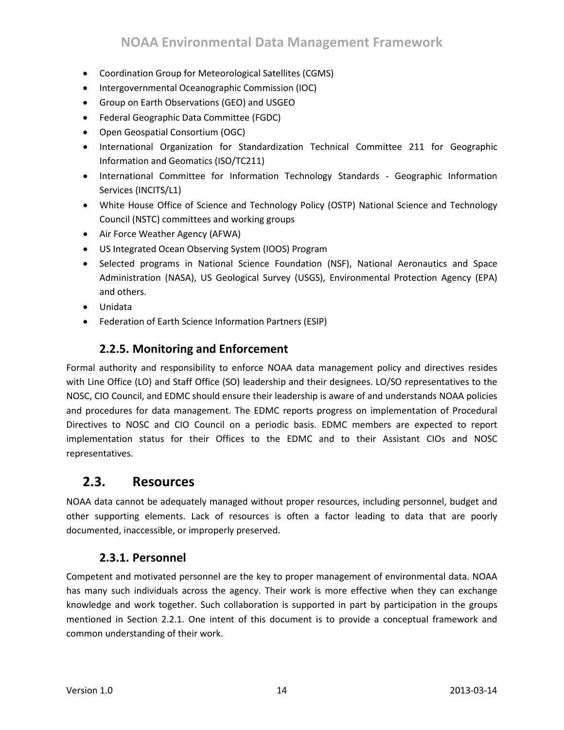- Coordination Group for Meteorological Satellites (CGMS)
- Intergovernmental Oceanographic Commission (IOC)
- Group on Earth Observations (GEO) and USGEO
- Federal Geographic Data Committee (FGDC)
- Open Geospatial Consortium (OGC)
- International Organization for Standardization Technical Committee 211 for Geographic Information and Geomatics (ISO/TC211)
- International Committee for Information Technology Standards Geographic Information Services (INCITS/L1)
- White House Office of Science and Technology Policy (OSTP) National Science and Technology Council (NSTC) committees and working groups
- Air Force Weather Agency (AFWA)
- US Integrated Ocean Observing System (IOOS) Program
- Selected programs in National Science Foundation (NSF), National Aeronautics and Space Administration (NASA), US Geological Survey (USGS), Environmental Protection Agency (EPA) and others.
- Unidata
- Federation of Earth Science Information Partners (ESIP)

### **2.2.5. Monitoring and Enforcement**

<span id="page-13-0"></span>Formal authority and responsibility to enforce NOAA data management policy and directives resides with Line Office (LO) and Staff Office (SO) leadership and their designees. LO/SO representatives to the NOSC, CIO Council, and EDMC should ensure their leadership is aware of and understands NOAA policies and procedures for data management. The EDMC reports progress on implementation of Procedural Directives to NOSC and CIO Council on a periodic basis. EDMC members are expected to report implementation status for their Offices to the EDMC and to their Assistant CIOs and NOSC representatives.

## <span id="page-13-1"></span>**2.3. Resources**

NOAA data cannot be adequately managed without proper resources, including personnel, budget and other supporting elements. Lack of resources is often a factor leading to data that are poorly documented, inaccessible, or improperly preserved.

### **2.3.1. Personnel**

<span id="page-13-2"></span>Competent and motivated personnel are the key to proper management of environmental data. NOAA has many such individuals across the agency. Their work is more effective when they can exchange knowledge and work together. Such collaboration is supported in part by participation in the groups mentioned in Section [2.2.1.](#page-8-4) One intent of this document is to provide a conceptual framework and common understanding of their work.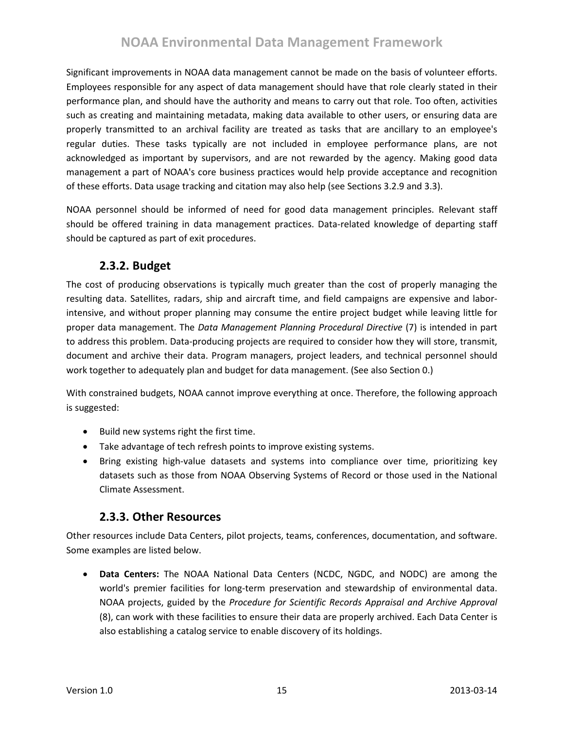# **NOAA Environmental Data Management Framework**

Significant improvements in NOAA data management cannot be made on the basis of volunteer efforts. Employees responsible for any aspect of data management should have that role clearly stated in their performance plan, and should have the authority and means to carry out that role. Too often, activities such as creating and maintaining metadata, making data available to other users, or ensuring data are properly transmitted to an archival facility are treated as tasks that are ancillary to an employee's regular duties. These tasks typically are not included in employee performance plans, are not acknowledged as important by supervisors, and are not rewarded by the agency. Making good data management a part of NOAA's core business practices would help provide acceptance and recognition of these efforts. Data usage tracking and citation may also help (see Sections [3.2.9](#page-26-1) and [3.3\)](#page-26-2).

NOAA personnel should be informed of need for good data management principles. Relevant staff should be offered training in data management practices. Data-related knowledge of departing staff should be captured as part of exit procedures.

### **2.3.2. Budget**

<span id="page-14-0"></span>The cost of producing observations is typically much greater than the cost of properly managing the resulting data. Satellites, radars, ship and aircraft time, and field campaigns are expensive and laborintensive, and without proper planning may consume the entire project budget while leaving little for proper data management. The *Data Management Planning Procedural Directive* (7) is intended in part to address this problem. Data-producing projects are required to consider how they will store, transmit, document and archive their data. Program managers, project leaders, and technical personnel should work together to adequately plan and budget for data management. (See also Sectio[n 0.](#page-21-1))

With constrained budgets, NOAA cannot improve everything at once. Therefore, the following approach is suggested:

- Build new systems right the first time.
- Take advantage of tech refresh points to improve existing systems.
- Bring existing high-value datasets and systems into compliance over time, prioritizing key datasets such as those from NOAA Observing Systems of Record or those used in the National Climate Assessment.

### **2.3.3. Other Resources**

<span id="page-14-1"></span>Other resources include Data Centers, pilot projects, teams, conferences, documentation, and software. Some examples are listed below.

• **Data Centers:** The NOAA National Data Centers (NCDC, NGDC, and NODC) are among the world's premier facilities for long-term preservation and stewardship of environmental data. NOAA projects, guided by the *Procedure for Scientific Records Appraisal and Archive Approval* (8), can work with these facilities to ensure their data are properly archived. Each Data Center is also establishing a catalog service to enable discovery of its holdings.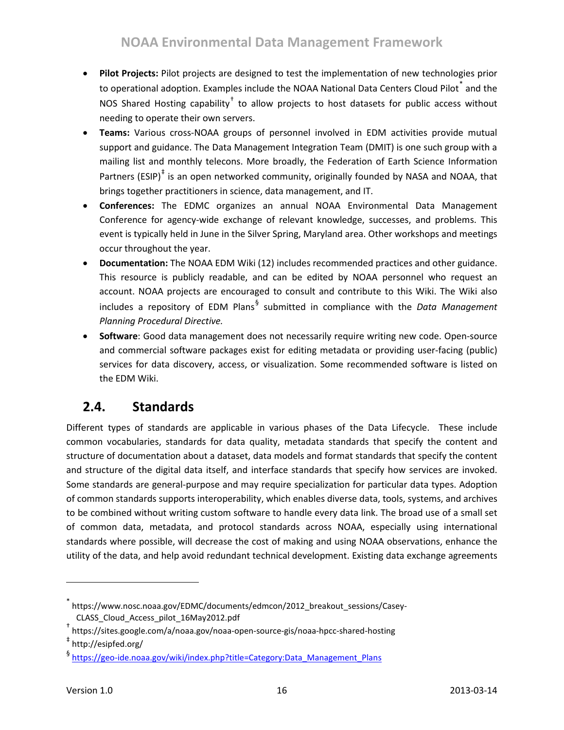- **Pilot Projects:** Pilot projects are designed to test the implementation of new technologies prior to operational adoption. Examples include the NOAA National Data Centers Cloud Pilot  $*$  and the NOS Shared Hosting capability<sup>[†](#page-15-2)</sup> to allow projects to host datasets for public access without needing to operate their own servers.
- **Teams:** Various cross-NOAA groups of personnel involved in EDM activities provide mutual support and guidance. The Data Management Integration Team (DMIT) is one such group with a mailing list and monthly telecons. More broadly, the Federation of Earth Science Information Partners (ESIP) $^{\dagger}$  is an open networked community, originally founded by NASA and NOAA, that brings together practitioners in science, data management, and IT.
- **Conferences:** The EDMC organizes an annual NOAA Environmental Data Management Conference for agency-wide exchange of relevant knowledge, successes, and problems. This event is typically held in June in the Silver Spring, Maryland area. Other workshops and meetings occur throughout the year.
- **Documentation:** The NOAA EDM Wiki (12) includes recommended practices and other guidance. This resource is publicly readable, and can be edited by NOAA personnel who request an account. NOAA projects are encouraged to consult and contribute to this Wiki. The Wiki also includes a repository of EDM Plans[§](#page-15-4) submitted in compliance with the *Data Management Planning Procedural Directive.*
- **Software**: Good data management does not necessarily require writing new code. Open-source and commercial software packages exist for editing metadata or providing user-facing (public) services for data discovery, access, or visualization. Some recommended software is listed on the EDM Wiki.

# <span id="page-15-0"></span>**2.4. Standards**

Different types of standards are applicable in various phases of the Data Lifecycle. These include common vocabularies, standards for data quality, metadata standards that specify the content and structure of documentation about a dataset, data models and format standards that specify the content and structure of the digital data itself, and interface standards that specify how services are invoked. Some standards are general-purpose and may require specialization for particular data types. Adoption of common standards supports interoperability, which enables diverse data, tools, systems, and archives to be combined without writing custom software to handle every data link. The broad use of a small set of common data, metadata, and protocol standards across NOAA, especially using international standards where possible, will decrease the cost of making and using NOAA observations, enhance the utility of the data, and help avoid redundant technical development. Existing data exchange agreements

<span id="page-15-1"></span><sup>\*</sup> https://www.nosc.noaa.gov/EDMC/documents/edmcon/2012\_breakout\_sessions/Casey-CLASS\_Cloud\_Access\_pilot\_16May2012.pdf

<span id="page-15-2"></span><sup>†</sup> https://sites.google.com/a/noaa.gov/noaa-open-source-gis/noaa-hpcc-shared-hosting

<span id="page-15-3"></span><sup>‡</sup> http://esipfed.org/

<span id="page-15-4"></span><sup>§</sup> [https://geo-ide.noaa.gov/wiki/index.php?title=Category:Data\\_Management\\_Plans](https://geo-ide.noaa.gov/wiki/index.php?title=Category:Data_Management_Plans)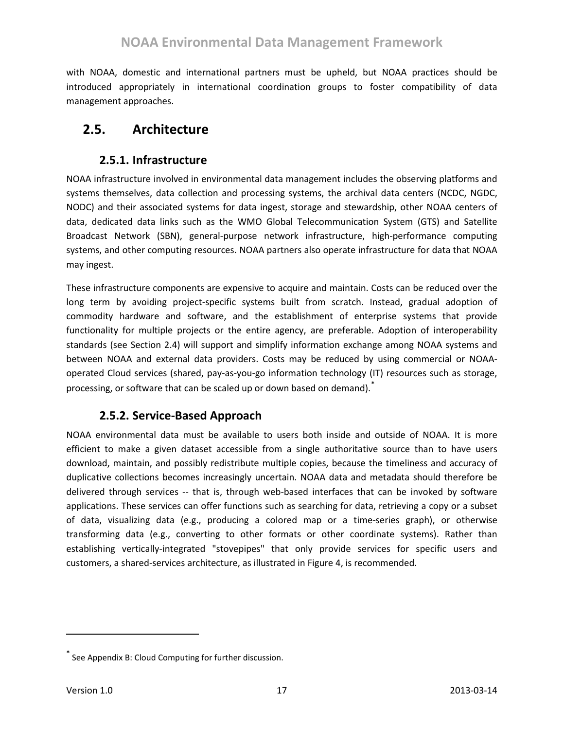with NOAA, domestic and international partners must be upheld, but NOAA practices should be introduced appropriately in international coordination groups to foster compatibility of data management approaches.

# <span id="page-16-1"></span><span id="page-16-0"></span>**2.5. Architecture**

### **2.5.1. Infrastructure**

NOAA infrastructure involved in environmental data management includes the observing platforms and systems themselves, data collection and processing systems, the archival data centers (NCDC, NGDC, NODC) and their associated systems for data ingest, storage and stewardship, other NOAA centers of data, dedicated data links such as the WMO Global Telecommunication System (GTS) and Satellite Broadcast Network (SBN), general-purpose network infrastructure, high-performance computing systems, and other computing resources. NOAA partners also operate infrastructure for data that NOAA may ingest.

These infrastructure components are expensive to acquire and maintain. Costs can be reduced over the long term by avoiding project-specific systems built from scratch. Instead, gradual adoption of commodity hardware and software, and the establishment of enterprise systems that provide functionality for multiple projects or the entire agency, are preferable. Adoption of interoperability standards (see Section [2.4\)](#page-15-0) will support and simplify information exchange among NOAA systems and between NOAA and external data providers. Costs may be reduced by using commercial or NOAAoperated Cloud services (shared, pay-as-you-go information technology (IT) resources such as storage, processing, or software that can be scaled up or down based on demand).

### **2.5.2. Service-Based Approach**

<span id="page-16-2"></span>NOAA environmental data must be available to users both inside and outside of NOAA. It is more efficient to make a given dataset accessible from a single authoritative source than to have users download, maintain, and possibly redistribute multiple copies, because the timeliness and accuracy of duplicative collections becomes increasingly uncertain. NOAA data and metadata should therefore be delivered through services -- that is, through web-based interfaces that can be invoked by software applications. These services can offer functions such as searching for data, retrieving a copy or a subset of data, visualizing data (e.g., producing a colored map or a time-series graph), or otherwise transforming data (e.g., converting to other formats or other coordinate systems). Rather than establishing vertically-integrated "stovepipes" that only provide services for specific users and customers, a shared-services architecture, as illustrated in [Figure 4,](#page-17-0) is recommended.

<span id="page-16-3"></span>See [Appendix B: Cloud Computing](#page-32-0) for further discussion.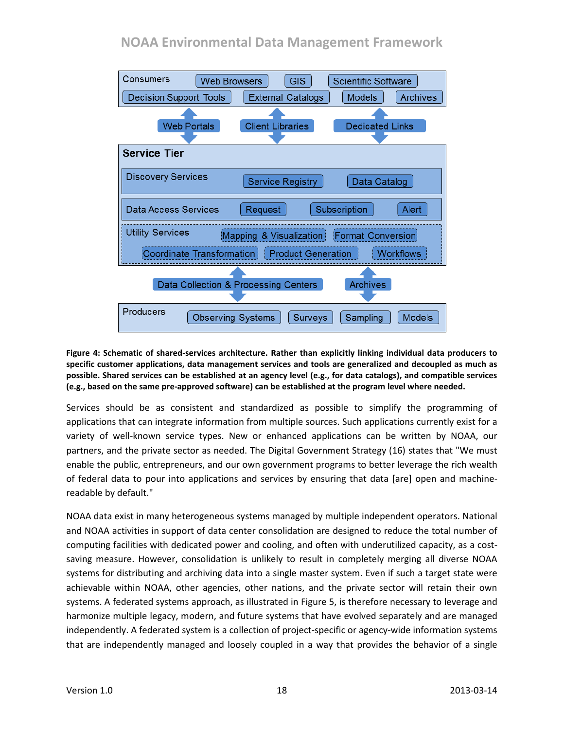# **NOAA Environmental Data Management Framework**



#### <span id="page-17-0"></span>**Figure 4: Schematic of shared-services architecture. Rather than explicitly linking individual data producers to specific customer applications, data management services and tools are generalized and decoupled as much as possible. Shared services can be established at an agency level (e.g., for data catalogs), and compatible services (e.g., based on the same pre-approved software) can be established at the program level where needed.**

Services should be as consistent and standardized as possible to simplify the programming of applications that can integrate information from multiple sources. Such applications currently exist for a variety of well-known service types. New or enhanced applications can be written by NOAA, our partners, and the private sector as needed. The Digital Government Strategy (16) states that "We must enable the public, entrepreneurs, and our own government programs to better leverage the rich wealth of federal data to pour into applications and services by ensuring that data [are] open and machinereadable by default."

NOAA data exist in many heterogeneous systems managed by multiple independent operators. National and NOAA activities in support of data center consolidation are designed to reduce the total number of computing facilities with dedicated power and cooling, and often with underutilized capacity, as a costsaving measure. However, consolidation is unlikely to result in completely merging all diverse NOAA systems for distributing and archiving data into a single master system. Even if such a target state were achievable within NOAA, other agencies, other nations, and the private sector will retain their own systems. A federated systems approach, as illustrated in [Figure 5,](#page-18-1) is therefore necessary to leverage and harmonize multiple legacy, modern, and future systems that have evolved separately and are managed independently. A federated system is a collection of project-specific or agency-wide information systems that are independently managed and loosely coupled in a way that provides the behavior of a single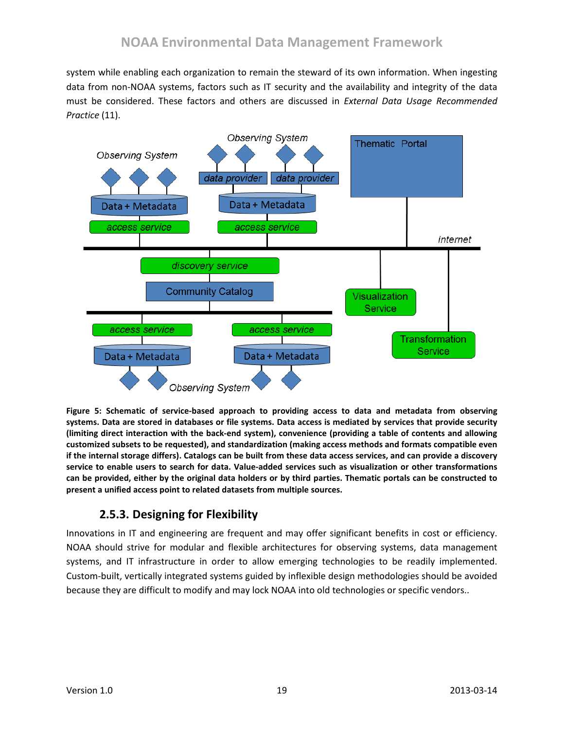system while enabling each organization to remain the steward of its own information. When ingesting data from non-NOAA systems, factors such as IT security and the availability and integrity of the data must be considered. These factors and others are discussed in *External Data Usage Recommended Practice* (11).



<span id="page-18-1"></span>**Figure 5: Schematic of service-based approach to providing access to data and metadata from observing systems. Data are stored in databases or file systems. Data access is mediated by services that provide security (limiting direct interaction with the back-end system), convenience (providing a table of contents and allowing customized subsets to be requested), and standardization (making access methods and formats compatible even if the internal storage differs). Catalogs can be built from these data access services, and can provide a discovery service to enable users to search for data. Value-added services such as visualization or other transformations can be provided, either by the original data holders or by third parties. Thematic portals can be constructed to present a unified access point to related datasets from multiple sources.**

## **2.5.3. Designing for Flexibility**

<span id="page-18-0"></span>Innovations in IT and engineering are frequent and may offer significant benefits in cost or efficiency. NOAA should strive for modular and flexible architectures for observing systems, data management systems, and IT infrastructure in order to allow emerging technologies to be readily implemented. Custom-built, vertically integrated systems guided by inflexible design methodologies should be avoided because they are difficult to modify and may lock NOAA into old technologies or specific vendors..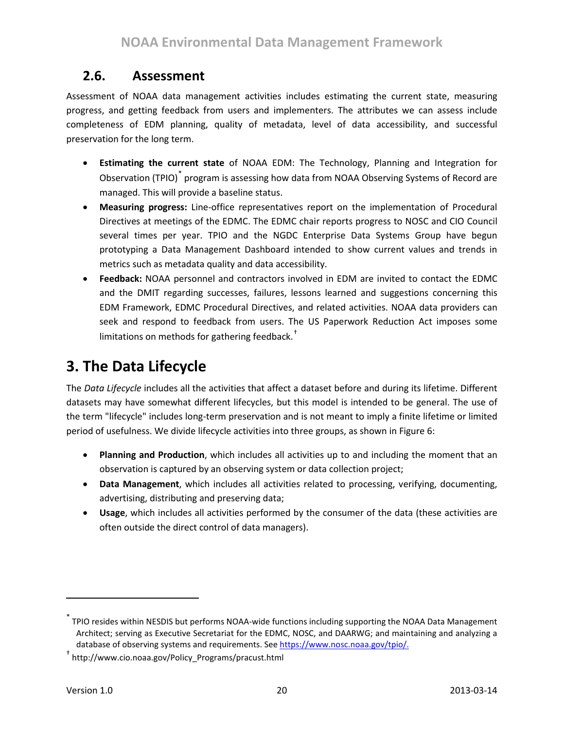# <span id="page-19-0"></span>**2.6. Assessment**

Assessment of NOAA data management activities includes estimating the current state, measuring progress, and getting feedback from users and implementers. The attributes we can assess include completeness of EDM planning, quality of metadata, level of data accessibility, and successful preservation for the long term.

- **Estimating the current state** of NOAA EDM: The Technology, Planning and Integration for Observation (TPIO)<sup>[\\*](#page-19-2)</sup> program is assessing how data from NOAA Observing Systems of Record are managed. This will provide a baseline status.
- **Measuring progress:** Line-office representatives report on the implementation of Procedural Directives at meetings of the EDMC. The EDMC chair reports progress to NOSC and CIO Council several times per year. TPIO and the NGDC Enterprise Data Systems Group have begun prototyping a Data Management Dashboard intended to show current values and trends in metrics such as metadata quality and data accessibility.
- **Feedback:** NOAA personnel and contractors involved in EDM are invited to contact the EDMC and the DMIT regarding successes, failures, lessons learned and suggestions concerning this EDM Framework, EDMC Procedural Directives, and related activities. NOAA data providers can seek and respond to feedback from users. The US Paperwork Reduction Act imposes some limitations on methods for gathering feedback.<sup>[†](#page-19-3)</sup>

# <span id="page-19-1"></span>**3. The Data Lifecycle**

The *Data Lifecycle* includes all the activities that affect a dataset before and during its lifetime. Different datasets may have somewhat different lifecycles, but this model is intended to be general. The use of the term "lifecycle" includes long-term preservation and is not meant to imply a finite lifetime or limited period of usefulness. We divide lifecycle activities into three groups, as shown i[n Figure 6:](#page-20-0)

- **Planning and Production**, which includes all activities up to and including the moment that an observation is captured by an observing system or data collection project;
- **Data Management**, which includes all activities related to processing, verifying, documenting, advertising, distributing and preserving data;
- **Usage**, which includes all activities performed by the consumer of the data (these activities are often outside the direct control of data managers).

 $\overline{\phantom{a}}$ 

<span id="page-19-2"></span><sup>\*</sup> TPIO resides within NESDIS but performs NOAA-wide functions including supporting the NOAA Data Management Architect; serving as Executive Secretariat for the EDMC, NOSC, and DAARWG; and maintaining and analyzing a database of observing systems and requirements. See [https://www.nosc.noaa.gov/tpio/.](https://www.nosc.noaa.gov/tpio/)

<span id="page-19-3"></span><sup>†</sup> http://www.cio.noaa.gov/Policy\_Programs/pracust.html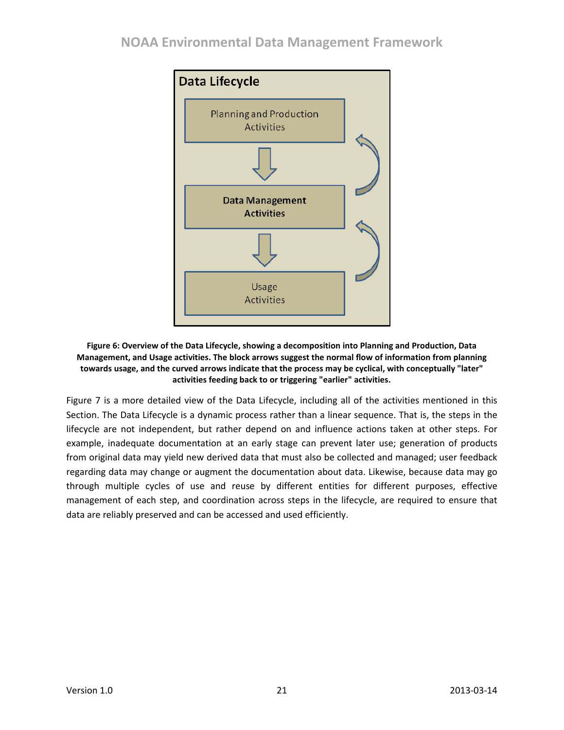## **NOAA Environmental Data Management Framework**



#### <span id="page-20-0"></span>**Figure 6: Overview of the Data Lifecycle, showing a decomposition into Planning and Production, Data Management, and Usage activities. The block arrows suggest the normal flow of information from planning towards usage, and the curved arrows indicate that the process may be cyclical, with conceptually "later" activities feeding back to or triggering "earlier" activities.**

[Figure 7](#page-21-2) is a more detailed view of the Data Lifecycle, including all of the activities mentioned in this Section. The Data Lifecycle is a dynamic process rather than a linear sequence. That is, the steps in the lifecycle are not independent, but rather depend on and influence actions taken at other steps. For example, inadequate documentation at an early stage can prevent later use; generation of products from original data may yield new derived data that must also be collected and managed; user feedback regarding data may change or augment the documentation about data. Likewise, because data may go through multiple cycles of use and reuse by different entities for different purposes, effective management of each step, and coordination across steps in the lifecycle, are required to ensure that data are reliably preserved and can be accessed and used efficiently.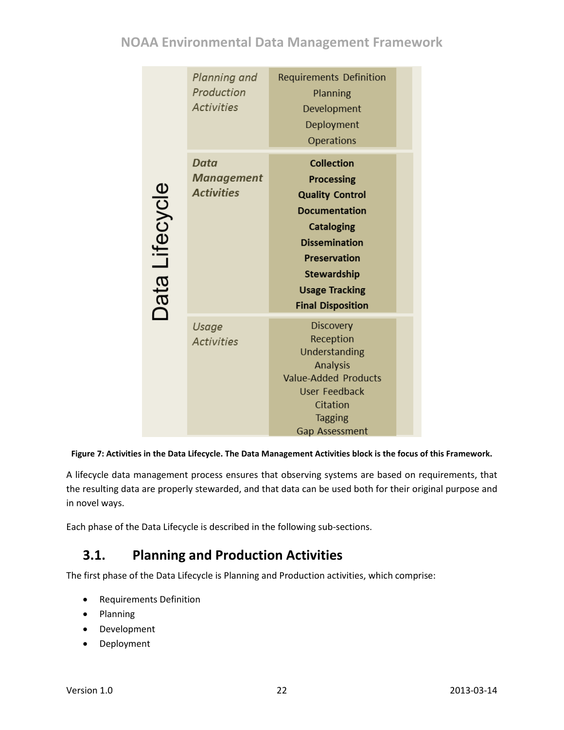# **NOAA Environmental Data Management Framework**

|                       | Planning and<br>Production<br><b>Activities</b> | <b>Requirements Definition</b><br>Planning<br>Development<br>Deployment<br>Operations                                                                                                                                                   |  |
|-----------------------|-------------------------------------------------|-----------------------------------------------------------------------------------------------------------------------------------------------------------------------------------------------------------------------------------------|--|
| <b>Data Lifecycle</b> | Data<br><b>Management</b><br><b>Activities</b>  | <b>Collection</b><br><b>Processing</b><br><b>Quality Control</b><br><b>Documentation</b><br><b>Cataloging</b><br><b>Dissemination</b><br><b>Preservation</b><br><b>Stewardship</b><br><b>Usage Tracking</b><br><b>Final Disposition</b> |  |
|                       | Usage<br><b>Activities</b>                      | <b>Discovery</b><br>Reception<br>Understanding<br><b>Analysis</b><br><b>Value-Added Products</b><br><b>User Feedback</b><br>Citation<br><b>Tagging</b><br>Gap Assessment                                                                |  |

#### <span id="page-21-2"></span>**Figure 7: Activities in the Data Lifecycle. The Data Management Activities block is the focus of this Framework.**

<span id="page-21-1"></span>A lifecycle data management process ensures that observing systems are based on requirements, that the resulting data are properly stewarded, and that data can be used both for their original purpose and in novel ways.

Each phase of the Data Lifecycle is described in the following sub-sections.

# <span id="page-21-0"></span>**3.1. Planning and Production Activities**

The first phase of the Data Lifecycle is Planning and Production activities, which comprise:

- Requirements Definition
- Planning
- Development
- Deployment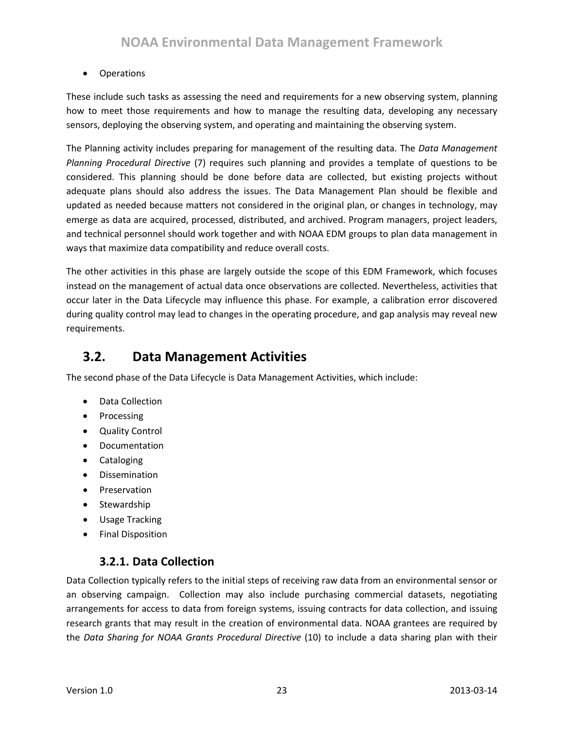#### • Operations

These include such tasks as assessing the need and requirements for a new observing system, planning how to meet those requirements and how to manage the resulting data, developing any necessary sensors, deploying the observing system, and operating and maintaining the observing system.

The Planning activity includes preparing for management of the resulting data. The *Data Management Planning Procedural Directive* (7) requires such planning and provides a template of questions to be considered. This planning should be done before data are collected, but existing projects without adequate plans should also address the issues. The Data Management Plan should be flexible and updated as needed because matters not considered in the original plan, or changes in technology, may emerge as data are acquired, processed, distributed, and archived. Program managers, project leaders, and technical personnel should work together and with NOAA EDM groups to plan data management in ways that maximize data compatibility and reduce overall costs.

The other activities in this phase are largely outside the scope of this EDM Framework, which focuses instead on the management of actual data once observations are collected. Nevertheless, activities that occur later in the Data Lifecycle may influence this phase. For example, a calibration error discovered during quality control may lead to changes in the operating procedure, and gap analysis may reveal new requirements.

# <span id="page-22-0"></span>**3.2. Data Management Activities**

The second phase of the Data Lifecycle is Data Management Activities, which include:

- Data Collection
- Processing
- Quality Control
- Documentation
- Cataloging
- Dissemination
- Preservation
- Stewardship
- Usage Tracking
- Final Disposition

### **3.2.1. Data Collection**

<span id="page-22-1"></span>Data Collection typically refers to the initial steps of receiving raw data from an environmental sensor or an observing campaign. Collection may also include purchasing commercial datasets, negotiating arrangements for access to data from foreign systems, issuing contracts for data collection, and issuing research grants that may result in the creation of environmental data. NOAA grantees are required by the *Data Sharing for NOAA Grants Procedural Directive* (10) to include a data sharing plan with their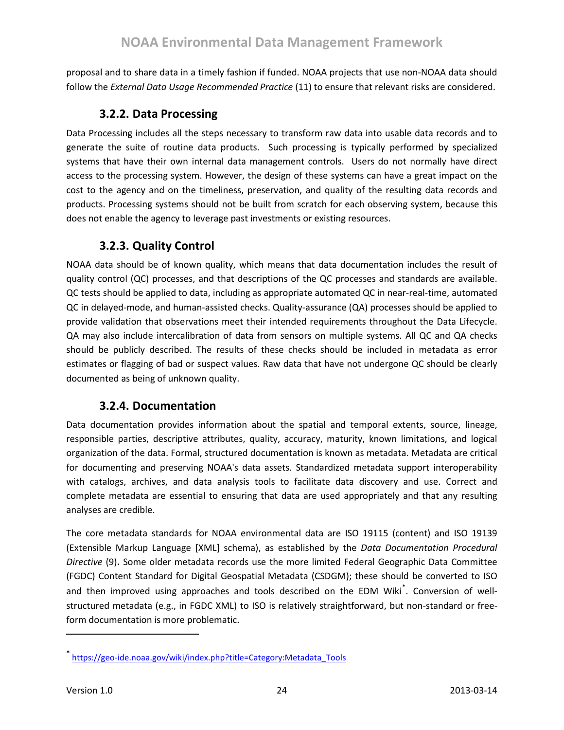proposal and to share data in a timely fashion if funded. NOAA projects that use non-NOAA data should follow the *External Data Usage Recommended Practice* (11) to ensure that relevant risks are considered.

### **3.2.2. Data Processing**

<span id="page-23-0"></span>Data Processing includes all the steps necessary to transform raw data into usable data records and to generate the suite of routine data products. Such processing is typically performed by specialized systems that have their own internal data management controls. Users do not normally have direct access to the processing system. However, the design of these systems can have a great impact on the cost to the agency and on the timeliness, preservation, and quality of the resulting data records and products. Processing systems should not be built from scratch for each observing system, because this does not enable the agency to leverage past investments or existing resources.

### **3.2.3. Quality Control**

<span id="page-23-1"></span>NOAA data should be of known quality, which means that data documentation includes the result of quality control (QC) processes, and that descriptions of the QC processes and standards are available. QC tests should be applied to data, including as appropriate automated QC in near-real-time, automated QC in delayed-mode, and human-assisted checks. Quality-assurance (QA) processes should be applied to provide validation that observations meet their intended requirements throughout the Data Lifecycle. QA may also include intercalibration of data from sensors on multiple systems. All QC and QA checks should be publicly described. The results of these checks should be included in metadata as error estimates or flagging of bad or suspect values. Raw data that have not undergone QC should be clearly documented as being of unknown quality.

### **3.2.4. Documentation**

<span id="page-23-2"></span>Data documentation provides information about the spatial and temporal extents, source, lineage, responsible parties, descriptive attributes, quality, accuracy, maturity, known limitations, and logical organization of the data. Formal, structured documentation is known as metadata. Metadata are critical for documenting and preserving NOAA's data assets. Standardized metadata support interoperability with catalogs, archives, and data analysis tools to facilitate data discovery and use. Correct and complete metadata are essential to ensuring that data are used appropriately and that any resulting analyses are credible.

The core metadata standards for NOAA environmental data are ISO 19115 (content) and ISO 19139 (Extensible Markup Language [XML] schema), as established by the *Data Documentation Procedural Directive* (9)**.** Some older metadata records use the more limited Federal Geographic Data Committee (FGDC) Content Standard for Digital Geospatial Metadata (CSDGM); these should be converted to ISO and then improved using approaches and tools described on the EDM Wiki<sup>[\\*](#page-23-3)</sup>. Conversion of wellstructured metadata (e.g., in FGDC XML) to ISO is relatively straightforward, but non-standard or freeform documentation is more problematic.

<span id="page-23-3"></span><sup>\*&</sup>lt;br>[https://geo-ide.noaa.gov/wiki/index.php?title=Category:Metadata\\_Tools](https://geo-ide.noaa.gov/wiki/index.php?title=Category:Metadata_Tools)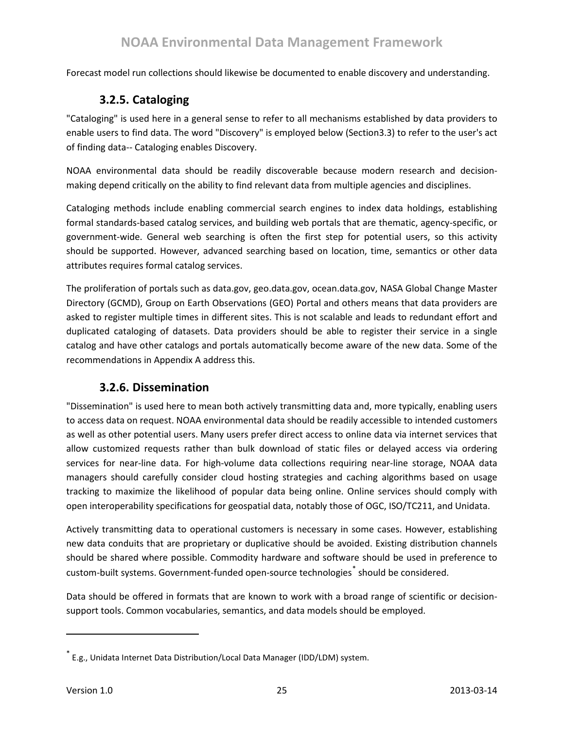<span id="page-24-0"></span>Forecast model run collections should likewise be documented to enable discovery and understanding.

### **3.2.5. Cataloging**

"Cataloging" is used here in a general sense to refer to all mechanisms established by data providers to enable users to find data. The word "Discovery" is employed below (Sectio[n3.3\)](#page-26-2) to refer to the user's act of finding data-- Cataloging enables Discovery.

NOAA environmental data should be readily discoverable because modern research and decisionmaking depend critically on the ability to find relevant data from multiple agencies and disciplines.

Cataloging methods include enabling commercial search engines to index data holdings, establishing formal standards-based catalog services, and building web portals that are thematic, agency-specific, or government-wide. General web searching is often the first step for potential users, so this activity should be supported. However, advanced searching based on location, time, semantics or other data attributes requires formal catalog services.

The proliferation of portals such as data.gov, geo.data.gov, ocean.data.gov, NASA Global Change Master Directory (GCMD), Group on Earth Observations (GEO) Portal and others means that data providers are asked to register multiple times in different sites. This is not scalable and leads to redundant effort and duplicated cataloging of datasets. Data providers should be able to register their service in a single catalog and have other catalogs and portals automatically become aware of the new data. Some of the recommendations in Appendix A address this.

### **3.2.6. Dissemination**

<span id="page-24-1"></span>"Dissemination" is used here to mean both actively transmitting data and, more typically, enabling users to access data on request. NOAA environmental data should be readily accessible to intended customers as well as other potential users. Many users prefer direct access to online data via internet services that allow customized requests rather than bulk download of static files or delayed access via ordering services for near-line data. For high-volume data collections requiring near-line storage, NOAA data managers should carefully consider cloud hosting strategies and caching algorithms based on usage tracking to maximize the likelihood of popular data being online. Online services should comply with open interoperability specifications for geospatial data, notably those of OGC, ISO/TC211, and Unidata.

Actively transmitting data to operational customers is necessary in some cases. However, establishing new data conduits that are proprietary or duplicative should be avoided. Existing distribution channels should be shared where possible. Commodity hardware and software should be used in preference to custom-built systems. Government-funded open-source technologies<sup>[\\*](#page-24-2)</sup> should be considered.

Data should be offered in formats that are known to work with a broad range of scientific or decisionsupport tools. Common vocabularies, semantics, and data models should be employed.

<span id="page-24-2"></span><sup>\*</sup> E.g., Unidata Internet Data Distribution/Local Data Manager (IDD/LDM) system.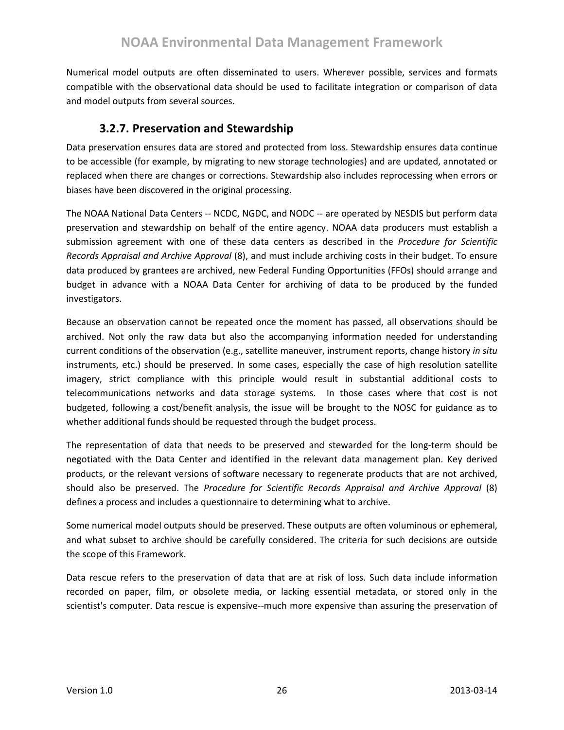Numerical model outputs are often disseminated to users. Wherever possible, services and formats compatible with the observational data should be used to facilitate integration or comparison of data and model outputs from several sources.

### **3.2.7. Preservation and Stewardship**

<span id="page-25-0"></span>Data preservation ensures data are stored and protected from loss. Stewardship ensures data continue to be accessible (for example, by migrating to new storage technologies) and are updated, annotated or replaced when there are changes or corrections. Stewardship also includes reprocessing when errors or biases have been discovered in the original processing.

The NOAA National Data Centers -- NCDC, NGDC, and NODC -- are operated by NESDIS but perform data preservation and stewardship on behalf of the entire agency. NOAA data producers must establish a submission agreement with one of these data centers as described in the *Procedure for Scientific Records Appraisal and Archive Approval* (8), and must include archiving costs in their budget. To ensure data produced by grantees are archived, new Federal Funding Opportunities (FFOs) should arrange and budget in advance with a NOAA Data Center for archiving of data to be produced by the funded investigators.

Because an observation cannot be repeated once the moment has passed, all observations should be archived. Not only the raw data but also the accompanying information needed for understanding current conditions of the observation (e.g., satellite maneuver, instrument reports, change history *in situ*  instruments, etc.) should be preserved. In some cases, especially the case of high resolution satellite imagery, strict compliance with this principle would result in substantial additional costs to telecommunications networks and data storage systems. In those cases where that cost is not budgeted, following a cost/benefit analysis, the issue will be brought to the NOSC for guidance as to whether additional funds should be requested through the budget process.

The representation of data that needs to be preserved and stewarded for the long-term should be negotiated with the Data Center and identified in the relevant data management plan. Key derived products, or the relevant versions of software necessary to regenerate products that are not archived, should also be preserved. The *Procedure for Scientific Records Appraisal and Archive Approval* (8) defines a process and includes a questionnaire to determining what to archive.

Some numerical model outputs should be preserved. These outputs are often voluminous or ephemeral, and what subset to archive should be carefully considered. The criteria for such decisions are outside the scope of this Framework.

Data rescue refers to the preservation of data that are at risk of loss. Such data include information recorded on paper, film, or obsolete media, or lacking essential metadata, or stored only in the scientist's computer. Data rescue is expensive--much more expensive than assuring the preservation of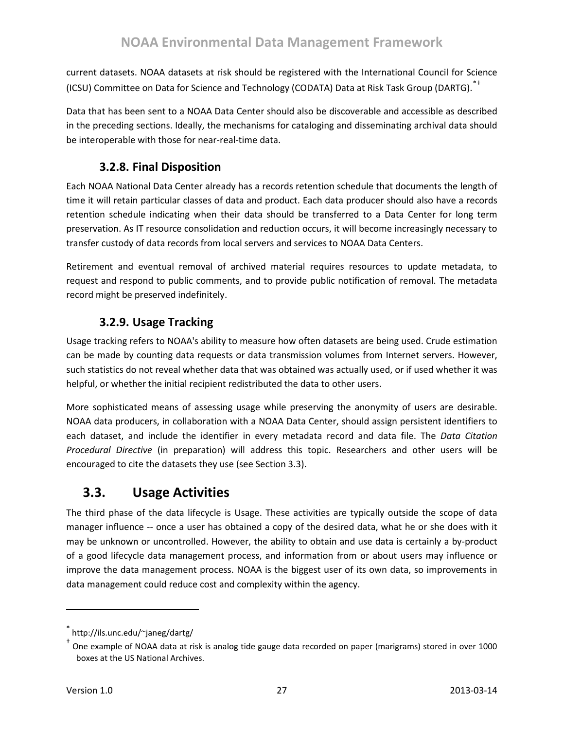current datasets. NOAA datasets at risk should be registered with the International Council for Science (ICSU) Committee on Data for Science and Technology (CODATA) Data at Risk Task Group (DARTG).[\\*](#page-26-3)[†](#page-26-4)

Data that has been sent to a NOAA Data Center should also be discoverable and accessible as described in the preceding sections. Ideally, the mechanisms for cataloging and disseminating archival data should be interoperable with those for near-real-time data.

## **3.2.8. Final Disposition**

<span id="page-26-0"></span>Each NOAA National Data Center already has a records retention schedule that documents the length of time it will retain particular classes of data and product. Each data producer should also have a records retention schedule indicating when their data should be transferred to a Data Center for long term preservation. As IT resource consolidation and reduction occurs, it will become increasingly necessary to transfer custody of data records from local servers and services to NOAA Data Centers.

Retirement and eventual removal of archived material requires resources to update metadata, to request and respond to public comments, and to provide public notification of removal. The metadata record might be preserved indefinitely.

# **3.2.9. Usage Tracking**

<span id="page-26-1"></span>Usage tracking refers to NOAA's ability to measure how often datasets are being used. Crude estimation can be made by counting data requests or data transmission volumes from Internet servers. However, such statistics do not reveal whether data that was obtained was actually used, or if used whether it was helpful, or whether the initial recipient redistributed the data to other users.

More sophisticated means of assessing usage while preserving the anonymity of users are desirable. NOAA data producers, in collaboration with a NOAA Data Center, should assign persistent identifiers to each dataset, and include the identifier in every metadata record and data file. The *Data Citation Procedural Directive* (in preparation) will address this topic. Researchers and other users will be encouraged to cite the datasets they use (see Section [3.3\)](#page-26-2).

# <span id="page-26-2"></span>**3.3. Usage Activities**

The third phase of the data lifecycle is Usage. These activities are typically outside the scope of data manager influence -- once a user has obtained a copy of the desired data, what he or she does with it may be unknown or uncontrolled. However, the ability to obtain and use data is certainly a by-product of a good lifecycle data management process, and information from or about users may influence or improve the data management process. NOAA is the biggest user of its own data, so improvements in data management could reduce cost and complexity within the agency.

http://ils.unc.edu/~janeg/dartg/

<span id="page-26-4"></span><span id="page-26-3"></span><sup>†</sup> One example of NOAA data at risk is analog tide gauge data recorded on paper (marigrams) stored in over 1000 boxes at the US National Archives.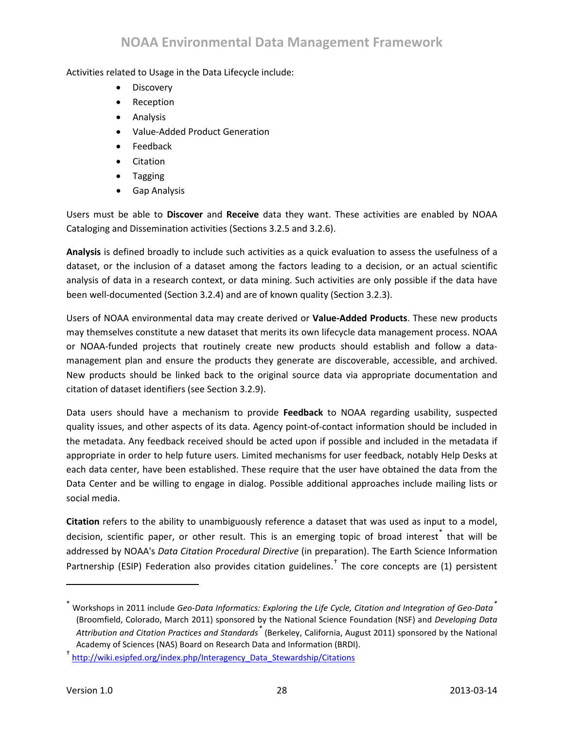## **NOAA Environmental Data Management Framework**

#### Activities related to Usage in the Data Lifecycle include:

- **Discovery**
- Reception
- Analysis
- Value-Added Product Generation
- Feedback
- Citation
- Tagging
- Gap Analysis

Users must be able to **Discover** and **Receive** data they want. These activities are enabled by NOAA Cataloging and Dissemination activities (Sections [3.2.5](#page-24-0) and [3.2.6\)](#page-24-1).

**Analysis** is defined broadly to include such activities as a quick evaluation to assess the usefulness of a dataset, or the inclusion of a dataset among the factors leading to a decision, or an actual scientific analysis of data in a research context, or data mining. Such activities are only possible if the data have been well-documented (Section [3.2.4\)](#page-23-2) and are of known quality (Section [3.2.3\)](#page-23-1).

Users of NOAA environmental data may create derived or **Value-Added Products**. These new products may themselves constitute a new dataset that merits its own lifecycle data management process. NOAA or NOAA-funded projects that routinely create new products should establish and follow a datamanagement plan and ensure the products they generate are discoverable, accessible, and archived. New products should be linked back to the original source data via appropriate documentation and citation of dataset identifiers (see Section [3.2.9\)](#page-26-1).

Data users should have a mechanism to provide **Feedback** to NOAA regarding usability, suspected quality issues, and other aspects of its data. Agency point-of-contact information should be included in the metadata. Any feedback received should be acted upon if possible and included in the metadata if appropriate in order to help future users. Limited mechanisms for user feedback, notably Help Desks at each data center, have been established. These require that the user have obtained the data from the Data Center and be willing to engage in dialog. Possible additional approaches include mailing lists or social media.

**Citation** refers to the ability to unambiguously reference a dataset that was used as input to a model, decision, scientific paper, or other result. This is an emerging topic of broad interest<sup>[\\*](#page-27-0)</sup> that will be addressed by NOAA's *Data Citation Procedural Directive* (in preparation). The Earth Science Information Partnership (ESIP) Federation also provides citation guidelines.<sup>†</sup> The core concepts are (1) persistent

 $\overline{\phantom{a}}$ 

<span id="page-27-0"></span><sup>\*</sup> Workshops in 2011 include *Geo-Data Informatics: Exploring the Life Cycle, Citation and Integration of Geo-Data[\\*](#page-2-1)* (Broomfield, Colorado, March 2011) sponsored by the National Science Foundation (NSF) and *Developing Data Attribution and Citation Practices and Standards[\\*](#page-3-2)* (Berkeley, California, August 2011) sponsored by the National Academy of Sciences (NAS) Board on Research Data and Information (BRDI).

<sup>†</sup> [http://wiki.esipfed.org/index.php/Interagency\\_Data\\_Stewardship/Citations](http://wiki.esipfed.org/index.php/Interagency_Data_Stewardship/Citations)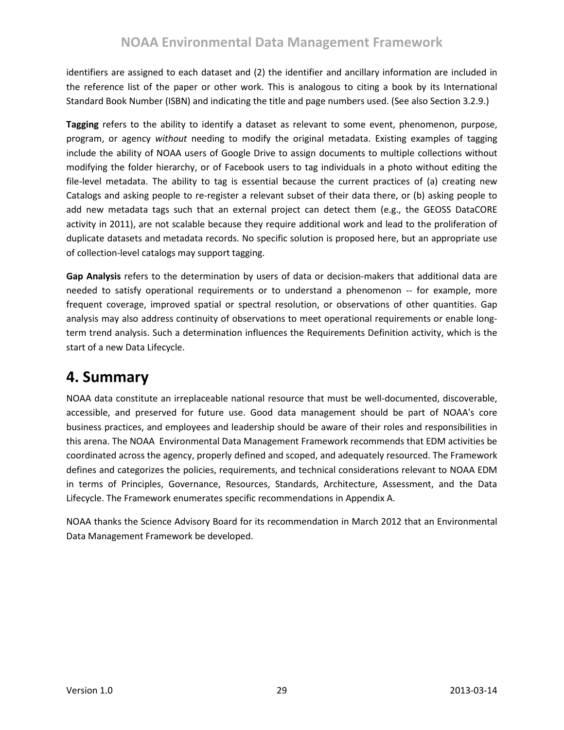identifiers are assigned to each dataset and (2) the identifier and ancillary information are included in the reference list of the paper or other work. This is analogous to citing a book by its International Standard Book Number (ISBN) and indicating the title and page numbers used. (See also Section [3.2.9.](#page-26-1))

**Tagging** refers to the ability to identify a dataset as relevant to some event, phenomenon, purpose, program, or agency *without* needing to modify the original metadata. Existing examples of tagging include the ability of NOAA users of Google Drive to assign documents to multiple collections without modifying the folder hierarchy, or of Facebook users to tag individuals in a photo without editing the file-level metadata. The ability to tag is essential because the current practices of (a) creating new Catalogs and asking people to re-register a relevant subset of their data there, or (b) asking people to add new metadata tags such that an external project can detect them (e.g., the GEOSS DataCORE activity in 2011), are not scalable because they require additional work and lead to the proliferation of duplicate datasets and metadata records. No specific solution is proposed here, but an appropriate use of collection-level catalogs may support tagging.

**Gap Analysis** refers to the determination by users of data or decision-makers that additional data are needed to satisfy operational requirements or to understand a phenomenon -- for example, more frequent coverage, improved spatial or spectral resolution, or observations of other quantities. Gap analysis may also address continuity of observations to meet operational requirements or enable longterm trend analysis. Such a determination influences the Requirements Definition activity, which is the start of a new Data Lifecycle.

# <span id="page-28-0"></span>**4. Summary**

NOAA data constitute an irreplaceable national resource that must be well-documented, discoverable, accessible, and preserved for future use. Good data management should be part of NOAA's core business practices, and employees and leadership should be aware of their roles and responsibilities in this arena. The NOAA Environmental Data Management Framework recommends that EDM activities be coordinated across the agency, properly defined and scoped, and adequately resourced. The Framework defines and categorizes the policies, requirements, and technical considerations relevant to NOAA EDM in terms of Principles, Governance, Resources, Standards, Architecture, Assessment, and the Data Lifecycle. The Framework enumerates specific recommendations in Appendix A.

NOAA thanks the Science Advisory Board for its recommendation in March 2012 that an Environmental Data Management Framework be developed.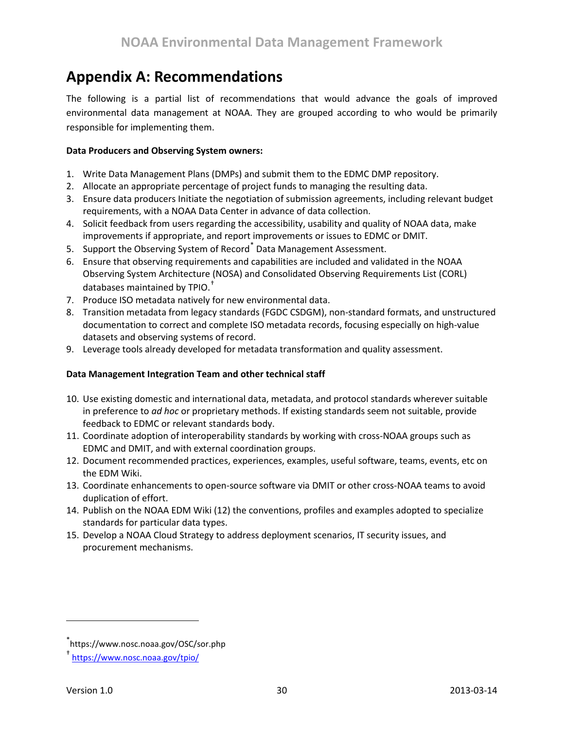# <span id="page-29-0"></span>**Appendix A: Recommendations**

The following is a partial list of recommendations that would advance the goals of improved environmental data management at NOAA. They are grouped according to who would be primarily responsible for implementing them.

#### **Data Producers and Observing System owners:**

- 1. Write Data Management Plans (DMPs) and submit them to the EDMC DMP repository.
- 2. Allocate an appropriate percentage of project funds to managing the resulting data.
- 3. Ensure data producers Initiate the negotiation of submission agreements, including relevant budget requirements, with a NOAA Data Center in advance of data collection.
- 4. Solicit feedback from users regarding the accessibility, usability and quality of NOAA data, make improvements if appropriate, and report improvements or issues to EDMC or DMIT.
- 5. Support the Observing System of Record<sup>[\\*](#page-29-1)</sup> Data Management Assessment.
- 6. Ensure that observing requirements and capabilities are included and validated in the NOAA Observing System Architecture (NOSA) and Consolidated Observing Requirements List (CORL) databases maintained by TPIO.<sup>[†](#page-29-2)</sup>
- 7. Produce ISO metadata natively for new environmental data.
- 8. Transition metadata from legacy standards (FGDC CSDGM), non-standard formats, and unstructured documentation to correct and complete ISO metadata records, focusing especially on high-value datasets and observing systems of record.
- 9. Leverage tools already developed for metadata transformation and quality assessment.

#### **Data Management Integration Team and other technical staff**

- 10. Use existing domestic and international data, metadata, and protocol standards wherever suitable in preference to *ad hoc* or proprietary methods. If existing standards seem not suitable, provide feedback to EDMC or relevant standards body.
- 11. Coordinate adoption of interoperability standards by working with cross-NOAA groups such as EDMC and DMIT, and with external coordination groups.
- 12. Document recommended practices, experiences, examples, useful software, teams, events, etc on the EDM Wiki.
- 13. Coordinate enhancements to open-source software via DMIT or other cross-NOAA teams to avoid duplication of effort.
- 14. Publish on the NOAA EDM Wiki (12) the conventions, profiles and examples adopted to specialize standards for particular data types.
- 15. Develop a NOAA Cloud Strategy to address deployment scenarios, IT security issues, and procurement mechanisms.

<span id="page-29-1"></span><sup>\*</sup> https://www.nosc.noaa.gov/OSC/sor.php

<span id="page-29-2"></span><sup>†</sup> <https://www.nosc.noaa.gov/tpio/>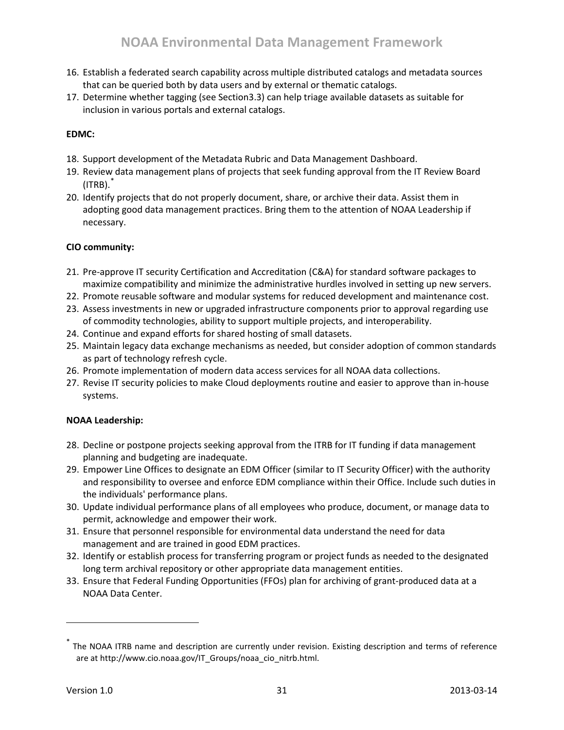- 16. Establish a federated search capability across multiple distributed catalogs and metadata sources that can be queried both by data users and by external or thematic catalogs.
- 17. Determine whether tagging (see Sectio[n3.3\)](#page-26-2) can help triage available datasets as suitable for inclusion in various portals and external catalogs.

#### **EDMC:**

- 18. Support development of the Metadata Rubric and Data Management Dashboard.
- 19. Review data management plans of projects that seek funding approval from the IT Review Board  $(ITRB).$
- 20. Identify projects that do not properly document, share, or archive their data. Assist them in adopting good data management practices. Bring them to the attention of NOAA Leadership if necessary.

#### **CIO community:**

- 21. Pre-approve IT security Certification and Accreditation (C&A) for standard software packages to maximize compatibility and minimize the administrative hurdles involved in setting up new servers.
- 22. Promote reusable software and modular systems for reduced development and maintenance cost.
- 23. Assess investments in new or upgraded infrastructure components prior to approval regarding use of commodity technologies, ability to support multiple projects, and interoperability.
- 24. Continue and expand efforts for shared hosting of small datasets.
- 25. Maintain legacy data exchange mechanisms as needed, but consider adoption of common standards as part of technology refresh cycle.
- 26. Promote implementation of modern data access services for all NOAA data collections.
- 27. Revise IT security policies to make Cloud deployments routine and easier to approve than in-house systems.

#### **NOAA Leadership:**

- 28. Decline or postpone projects seeking approval from the ITRB for IT funding if data management planning and budgeting are inadequate.
- 29. Empower Line Offices to designate an EDM Officer (similar to IT Security Officer) with the authority and responsibility to oversee and enforce EDM compliance within their Office. Include such duties in the individuals' performance plans.
- 30. Update individual performance plans of all employees who produce, document, or manage data to permit, acknowledge and empower their work.
- 31. Ensure that personnel responsible for environmental data understand the need for data management and are trained in good EDM practices.
- 32. Identify or establish process for transferring program or project funds as needed to the designated long term archival repository or other appropriate data management entities.
- 33. Ensure that Federal Funding Opportunities (FFOs) plan for archiving of grant-produced data at a NOAA Data Center.

<span id="page-30-0"></span><sup>\*</sup> The NOAA ITRB name and description are currently under revision. Existing description and terms of reference are at http://www.cio.noaa.gov/IT\_Groups/noaa\_cio\_nitrb.html.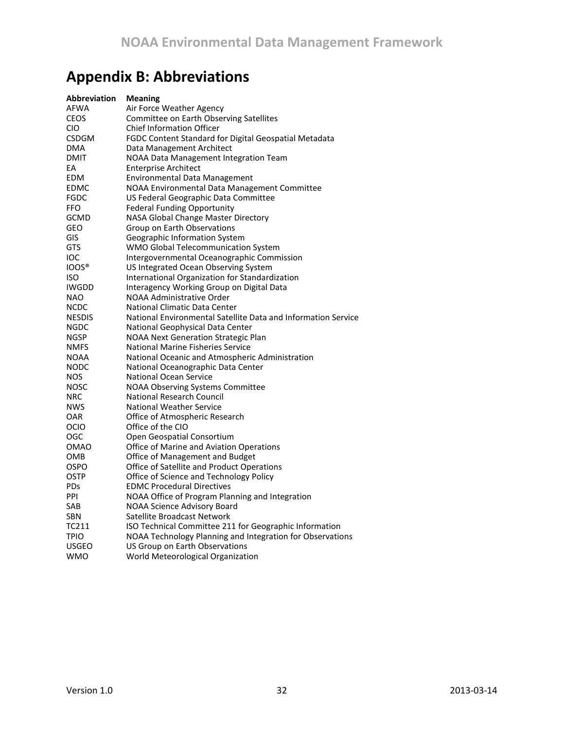# <span id="page-31-0"></span>**Appendix B: Abbreviations**

| Abbreviation  | <b>Meaning</b>                                                |
|---------------|---------------------------------------------------------------|
| <b>AFWA</b>   | Air Force Weather Agency                                      |
| <b>CEOS</b>   | Committee on Earth Observing Satellites                       |
| CIO           | <b>Chief Information Officer</b>                              |
| <b>CSDGM</b>  | FGDC Content Standard for Digital Geospatial Metadata         |
| <b>DMA</b>    | Data Management Architect                                     |
| <b>DMIT</b>   | NOAA Data Management Integration Team                         |
| EA            | <b>Enterprise Architect</b>                                   |
| EDM           | Environmental Data Management                                 |
| <b>EDMC</b>   | NOAA Environmental Data Management Committee                  |
| <b>FGDC</b>   | US Federal Geographic Data Committee                          |
| <b>FFO</b>    | <b>Federal Funding Opportunity</b>                            |
| <b>GCMD</b>   | NASA Global Change Master Directory                           |
| GEO           | Group on Earth Observations                                   |
| GIS           | Geographic Information System                                 |
| <b>GTS</b>    | WMO Global Telecommunication System                           |
| IOC           | Intergovernmental Oceanographic Commission                    |
| <b>IOOS®</b>  | US Integrated Ocean Observing System                          |
| ISO           | International Organization for Standardization                |
| <b>IWGDD</b>  | Interagency Working Group on Digital Data                     |
| <b>NAO</b>    | NOAA Administrative Order                                     |
| <b>NCDC</b>   | National Climatic Data Center                                 |
| <b>NESDIS</b> | National Environmental Satellite Data and Information Service |
| <b>NGDC</b>   | National Geophysical Data Center                              |
| <b>NGSP</b>   | NOAA Next Generation Strategic Plan                           |
| <b>NMFS</b>   | <b>National Marine Fisheries Service</b>                      |
| <b>NOAA</b>   | National Oceanic and Atmospheric Administration               |
| <b>NODC</b>   | National Oceanographic Data Center                            |
| <b>NOS</b>    | <b>National Ocean Service</b>                                 |
| <b>NOSC</b>   | <b>NOAA Observing Systems Committee</b>                       |
| <b>NRC</b>    | National Research Council                                     |
| <b>NWS</b>    | <b>National Weather Service</b>                               |
| <b>OAR</b>    | Office of Atmospheric Research                                |
| OCIO          | Office of the CIO                                             |
| OGC           | Open Geospatial Consortium                                    |
| <b>OMAO</b>   | Office of Marine and Aviation Operations                      |
| OMB           | Office of Management and Budget                               |
| <b>OSPO</b>   | Office of Satellite and Product Operations                    |
| <b>OSTP</b>   | Office of Science and Technology Policy                       |
| <b>PDs</b>    | <b>EDMC Procedural Directives</b>                             |
| PPI           | NOAA Office of Program Planning and Integration               |
| SAB           | <b>NOAA Science Advisory Board</b>                            |
| <b>SBN</b>    | Satellite Broadcast Network                                   |
| TC211         | ISO Technical Committee 211 for Geographic Information        |
| <b>TPIO</b>   | NOAA Technology Planning and Integration for Observations     |
| <b>USGEO</b>  | US Group on Earth Observations                                |
| <b>WMO</b>    | World Meteorological Organization                             |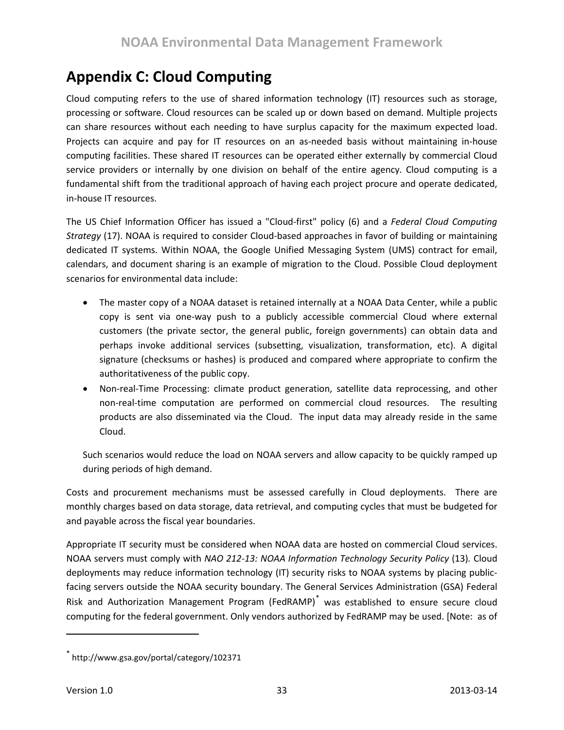# <span id="page-32-0"></span>**Appendix C: Cloud Computing**

Cloud computing refers to the use of shared information technology (IT) resources such as storage, processing or software. Cloud resources can be scaled up or down based on demand. Multiple projects can share resources without each needing to have surplus capacity for the maximum expected load. Projects can acquire and pay for IT resources on an as-needed basis without maintaining in-house computing facilities. These shared IT resources can be operated either externally by commercial Cloud service providers or internally by one division on behalf of the entire agency. Cloud computing is a fundamental shift from the traditional approach of having each project procure and operate dedicated, in-house IT resources.

The US Chief Information Officer has issued a "Cloud-first" policy (6) and a *Federal Cloud Computing Strategy* (17). NOAA is required to consider Cloud-based approaches in favor of building or maintaining dedicated IT systems. Within NOAA, the Google Unified Messaging System (UMS) contract for email, calendars, and document sharing is an example of migration to the Cloud. Possible Cloud deployment scenarios for environmental data include:

- The master copy of a NOAA dataset is retained internally at a NOAA Data Center, while a public copy is sent via one-way push to a publicly accessible commercial Cloud where external customers (the private sector, the general public, foreign governments) can obtain data and perhaps invoke additional services (subsetting, visualization, transformation, etc). A digital signature (checksums or hashes) is produced and compared where appropriate to confirm the authoritativeness of the public copy.
- Non-real-Time Processing: climate product generation, satellite data reprocessing, and other non-real-time computation are performed on commercial cloud resources. The resulting products are also disseminated via the Cloud. The input data may already reside in the same Cloud.

Such scenarios would reduce the load on NOAA servers and allow capacity to be quickly ramped up during periods of high demand.

Costs and procurement mechanisms must be assessed carefully in Cloud deployments. There are monthly charges based on data storage, data retrieval, and computing cycles that must be budgeted for and payable across the fiscal year boundaries.

Appropriate IT security must be considered when NOAA data are hosted on commercial Cloud services. NOAA servers must comply with *NAO 212-13: NOAA Information Technology Security Policy* (13)*.* Cloud deployments may reduce information technology (IT) security risks to NOAA systems by placing publicfacing servers outside the NOAA security boundary. The General Services Administration (GSA) Federal Risk and Authorization Management Program (FedRAMP)[\\*](#page-32-1) was established to ensure secure cloud computing for the federal government. Only vendors authorized by FedRAMP may be used. [Note: as of

<span id="page-32-1"></span><sup>\*</sup> http://www.gsa.gov/portal/category/102371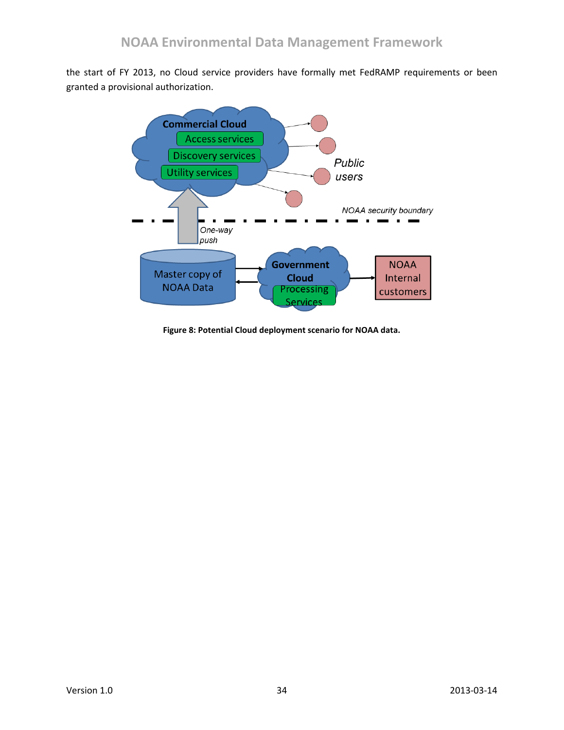the start of FY 2013, no Cloud service providers have formally met FedRAMP requirements or been granted a provisional authorization.



**Figure 8: Potential Cloud deployment scenario for NOAA data.**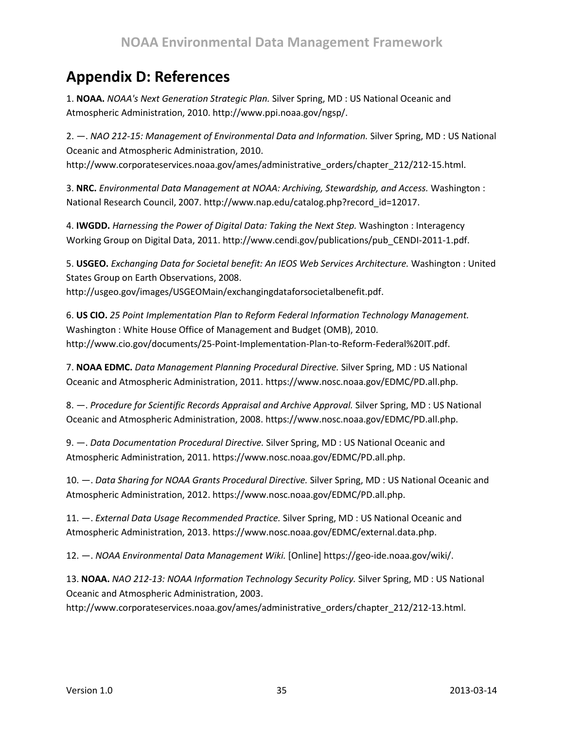# <span id="page-34-0"></span>**Appendix D: References**

1. **NOAA.** *NOAA's Next Generation Strategic Plan.* Silver Spring, MD : US National Oceanic and Atmospheric Administration, 2010. http://www.ppi.noaa.gov/ngsp/.

2. —. *NAO 212-15: Management of Environmental Data and Information.* Silver Spring, MD : US National Oceanic and Atmospheric Administration, 2010. http://www.corporateservices.noaa.gov/ames/administrative\_orders/chapter\_212/212-15.html.

3. **NRC.** *Environmental Data Management at NOAA: Archiving, Stewardship, and Access.* Washington : National Research Council, 2007. http://www.nap.edu/catalog.php?record\_id=12017.

4. **IWGDD.** *Harnessing the Power of Digital Data: Taking the Next Step.* Washington : Interagency Working Group on Digital Data, 2011. http://www.cendi.gov/publications/pub\_CENDI-2011-1.pdf.

5. **USGEO.** *Exchanging Data for Societal benefit: An IEOS Web Services Architecture.* Washington : United States Group on Earth Observations, 2008. http://usgeo.gov/images/USGEOMain/exchangingdataforsocietalbenefit.pdf.

6. **US CIO.** *25 Point Implementation Plan to Reform Federal Information Technology Management.*  Washington : White House Office of Management and Budget (OMB), 2010. http://www.cio.gov/documents/25-Point-Implementation-Plan-to-Reform-Federal%20IT.pdf.

7. **NOAA EDMC.** *Data Management Planning Procedural Directive.* Silver Spring, MD : US National Oceanic and Atmospheric Administration, 2011. https://www.nosc.noaa.gov/EDMC/PD.all.php.

8. —. *Procedure for Scientific Records Appraisal and Archive Approval.* Silver Spring, MD : US National Oceanic and Atmospheric Administration, 2008. https://www.nosc.noaa.gov/EDMC/PD.all.php.

9. —. *Data Documentation Procedural Directive.* Silver Spring, MD : US National Oceanic and Atmospheric Administration, 2011. https://www.nosc.noaa.gov/EDMC/PD.all.php.

10. —. *Data Sharing for NOAA Grants Procedural Directive.* Silver Spring, MD : US National Oceanic and Atmospheric Administration, 2012. https://www.nosc.noaa.gov/EDMC/PD.all.php.

11. —. *External Data Usage Recommended Practice.* Silver Spring, MD : US National Oceanic and Atmospheric Administration, 2013. https://www.nosc.noaa.gov/EDMC/external.data.php.

12. —. *NOAA Environmental Data Management Wiki.* [Online] https://geo-ide.noaa.gov/wiki/.

13. **NOAA.** *NAO 212-13: NOAA Information Technology Security Policy.* Silver Spring, MD : US National Oceanic and Atmospheric Administration, 2003.

http://www.corporateservices.noaa.gov/ames/administrative\_orders/chapter\_212/212-13.html.